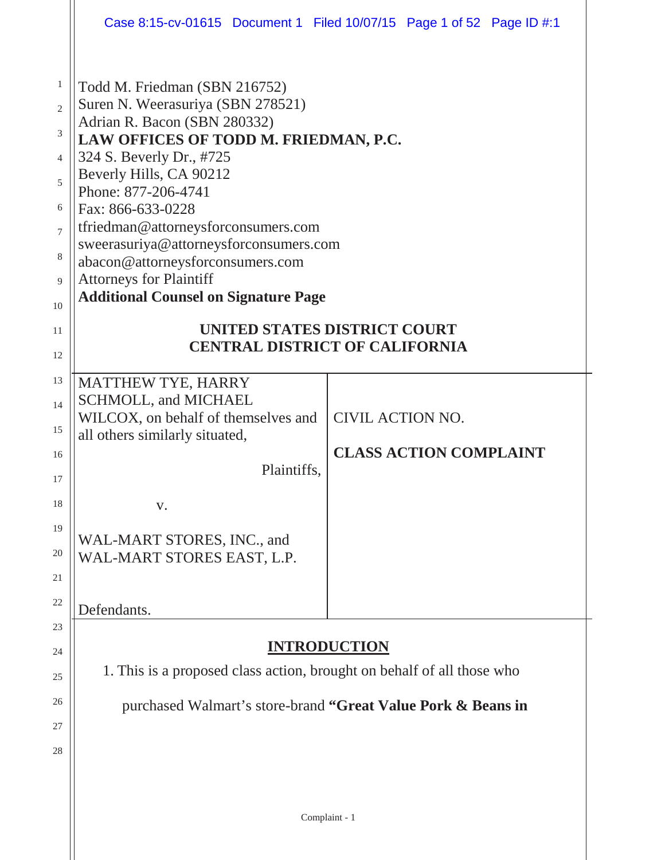|                                                                                                    | Case 8:15-cv-01615 Document 1 Filed 10/07/15 Page 1 of 52 Page ID #:1                                                                                                                                                                                                                                                                                                                                                                                                                                                         |                         |                               |  |
|----------------------------------------------------------------------------------------------------|-------------------------------------------------------------------------------------------------------------------------------------------------------------------------------------------------------------------------------------------------------------------------------------------------------------------------------------------------------------------------------------------------------------------------------------------------------------------------------------------------------------------------------|-------------------------|-------------------------------|--|
| 1<br>$\overline{2}$<br>3<br>$\overline{4}$<br>5<br>6<br>$\overline{7}$<br>8<br>9<br>10<br>11<br>12 | Todd M. Friedman (SBN 216752)<br>Suren N. Weerasuriya (SBN 278521)<br>Adrian R. Bacon (SBN 280332)<br>LAW OFFICES OF TODD M. FRIEDMAN, P.C.<br>324 S. Beverly Dr., #725<br>Beverly Hills, CA 90212<br>Phone: 877-206-4741<br>Fax: 866-633-0228<br>tfriedman@attorneysforconsumers.com<br>sweerasuriya@attorneysforconsumers.com<br>abacon@attorneysforconsumers.com<br><b>Attorneys for Plaintiff</b><br><b>Additional Counsel on Signature Page</b><br>UNITED STATES DISTRICT COURT<br><b>CENTRAL DISTRICT OF CALIFORNIA</b> |                         |                               |  |
| 13<br>14<br>15<br>16<br>17<br>18<br>19<br>20<br>21<br>22                                           | MATTHEW TYE, HARRY<br><b>SCHMOLL, and MICHAEL</b><br>WILCOX, on behalf of themselves and<br>all others similarly situated,<br>Plaintiffs,<br>V.<br>WAL-MART STORES, INC., and<br>WAL-MART STORES EAST, L.P.<br>Defendants.                                                                                                                                                                                                                                                                                                    | <b>CIVIL ACTION NO.</b> | <b>CLASS ACTION COMPLAINT</b> |  |
| 23<br>24<br>25<br>26<br>27<br>28                                                                   | 1. This is a proposed class action, brought on behalf of all those who<br>purchased Walmart's store-brand "Great Value Pork & Beans in                                                                                                                                                                                                                                                                                                                                                                                        | <b>INTRODUCTION</b>     |                               |  |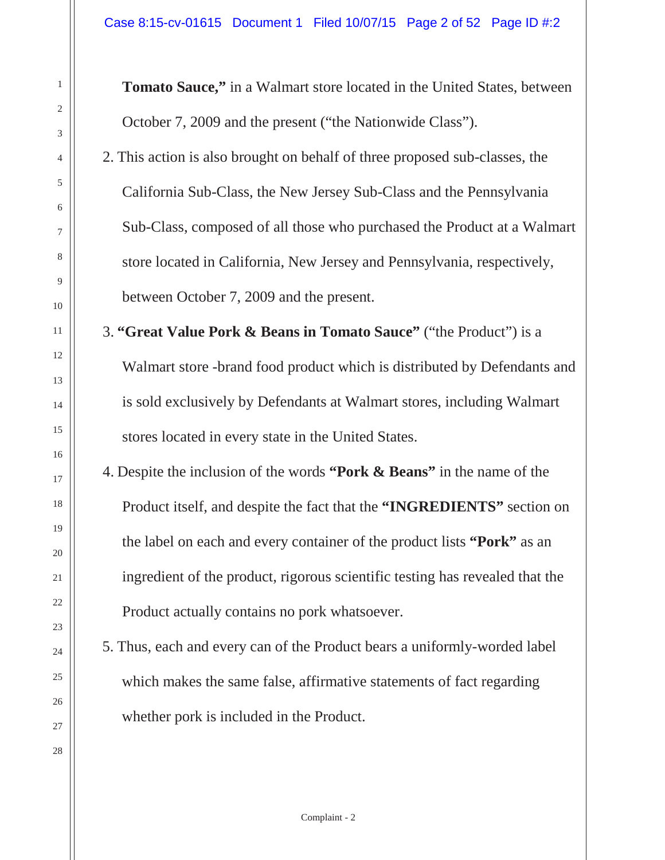**Tomato Sauce,"** in a Walmart store located in the United States, between October 7, 2009 and the present ("the Nationwide Class").

2. This action is also brought on behalf of three proposed sub-classes, the California Sub-Class, the New Jersey Sub-Class and the Pennsylvania Sub-Class, composed of all those who purchased the Product at a Walmart store located in California, New Jersey and Pennsylvania, respectively, between October 7, 2009 and the present.

3. **"Great Value Pork & Beans in Tomato Sauce"** ("the Product") is a Walmart store -brand food product which is distributed by Defendants and is sold exclusively by Defendants at Walmart stores, including Walmart stores located in every state in the United States.

- 4. Despite the inclusion of the words **"Pork & Beans"** in the name of the Product itself, and despite the fact that the **"INGREDIENTS"** section on the label on each and every container of the product lists **"Pork"** as an ingredient of the product, rigorous scientific testing has revealed that the Product actually contains no pork whatsoever.
- 5. Thus, each and every can of the Product bears a uniformly-worded label which makes the same false, affirmative statements of fact regarding whether pork is included in the Product.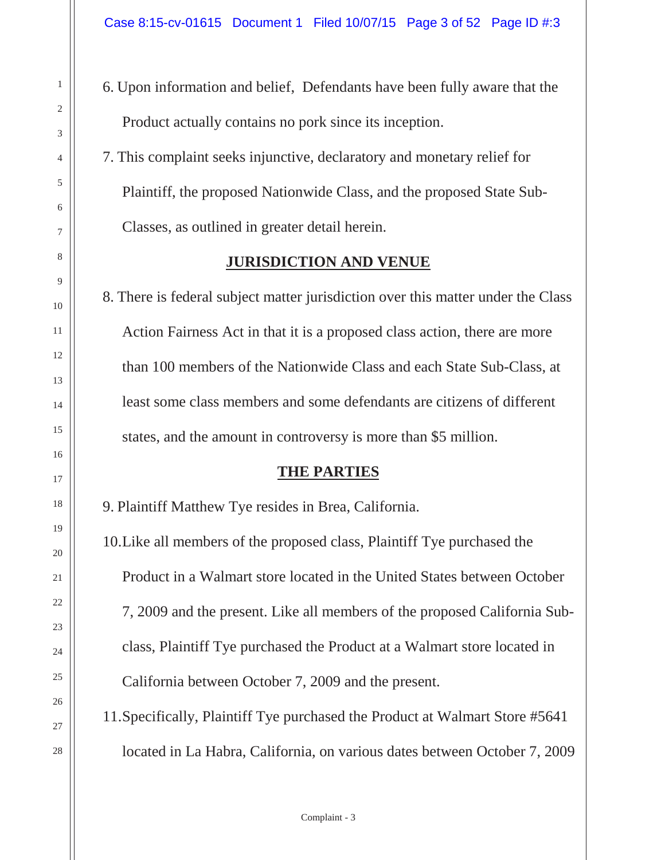6. Upon information and belief, Defendants have been fully aware that the Product actually contains no pork since its inception.

7. This complaint seeks injunctive, declaratory and monetary relief for Plaintiff, the proposed Nationwide Class, and the proposed State Sub-Classes, as outlined in greater detail herein.

#### **JURISDICTION AND VENUE**

8. There is federal subject matter jurisdiction over this matter under the Class Action Fairness Act in that it is a proposed class action, there are more than 100 members of the Nationwide Class and each State Sub-Class, at least some class members and some defendants are citizens of different states, and the amount in controversy is more than \$5 million.

#### **THE PARTIES**

9. Plaintiff Matthew Tye resides in Brea, California.

10.Like all members of the proposed class, Plaintiff Tye purchased the Product in a Walmart store located in the United States between October 7, 2009 and the present. Like all members of the proposed California Subclass, Plaintiff Tye purchased the Product at a Walmart store located in California between October 7, 2009 and the present.

11.Specifically, Plaintiff Tye purchased the Product at Walmart Store #5641 located in La Habra, California, on various dates between October 7, 2009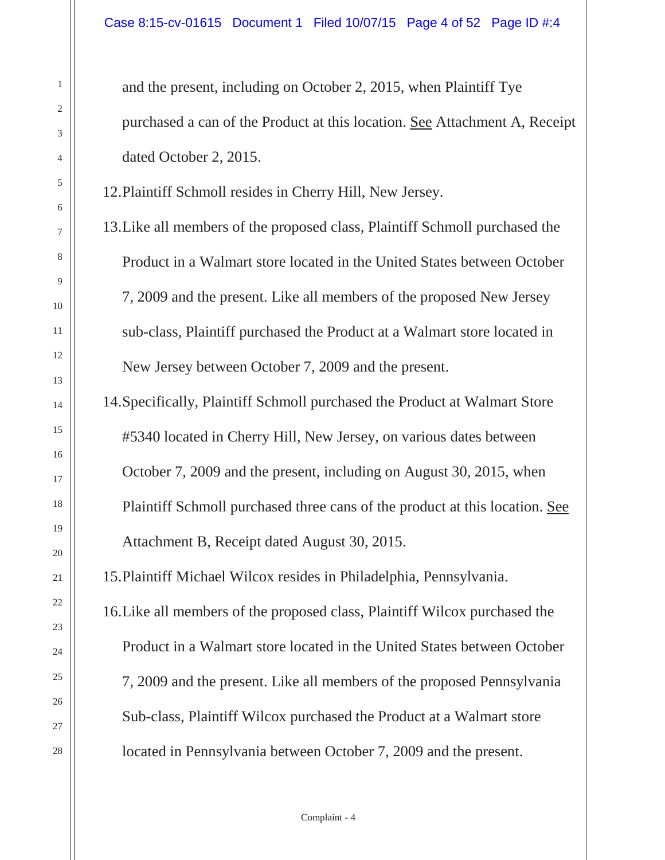and the present, including on October 2, 2015, when Plaintiff Tye purchased a can of the Product at this location. See Attachment A, Receipt dated October 2, 2015.

12.Plaintiff Schmoll resides in Cherry Hill, New Jersey.

13.Like all members of the proposed class, Plaintiff Schmoll purchased the Product in a Walmart store located in the United States between October 7, 2009 and the present. Like all members of the proposed New Jersey sub-class, Plaintiff purchased the Product at a Walmart store located in New Jersey between October 7, 2009 and the present.

14.Specifically, Plaintiff Schmoll purchased the Product at Walmart Store #5340 located in Cherry Hill, New Jersey, on various dates between October 7, 2009 and the present, including on August 30, 2015, when Plaintiff Schmoll purchased three cans of the product at this location. See Attachment B, Receipt dated August 30, 2015.

15.Plaintiff Michael Wilcox resides in Philadelphia, Pennsylvania.

16.Like all members of the proposed class, Plaintiff Wilcox purchased the Product in a Walmart store located in the United States between October 7, 2009 and the present. Like all members of the proposed Pennsylvania Sub-class, Plaintiff Wilcox purchased the Product at a Walmart store located in Pennsylvania between October 7, 2009 and the present.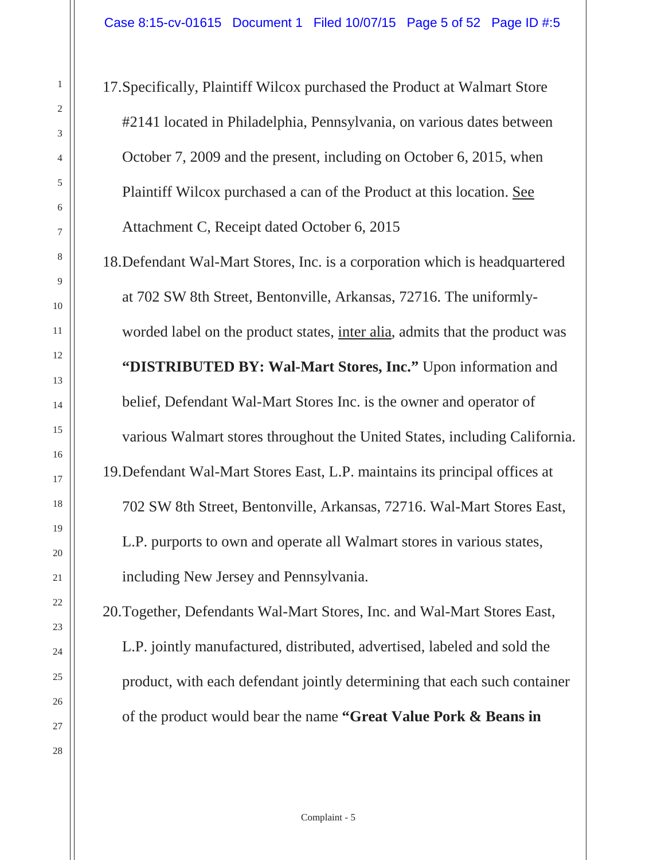17.Specifically, Plaintiff Wilcox purchased the Product at Walmart Store #2141 located in Philadelphia, Pennsylvania, on various dates between October 7, 2009 and the present, including on October 6, 2015, when Plaintiff Wilcox purchased a can of the Product at this location. See Attachment C, Receipt dated October 6, 2015

18.Defendant Wal-Mart Stores, Inc. is a corporation which is headquartered at 702 SW 8th Street, Bentonville, Arkansas, 72716. The uniformlyworded label on the product states, inter alia, admits that the product was **"DISTRIBUTED BY: Wal-Mart Stores, Inc."** Upon information and belief, Defendant Wal-Mart Stores Inc. is the owner and operator of various Walmart stores throughout the United States, including California. 19.Defendant Wal-Mart Stores East, L.P. maintains its principal offices at 702 SW 8th Street, Bentonville, Arkansas, 72716. Wal-Mart Stores East, L.P. purports to own and operate all Walmart stores in various states, including New Jersey and Pennsylvania.

20.Together, Defendants Wal-Mart Stores, Inc. and Wal-Mart Stores East, L.P. jointly manufactured, distributed, advertised, labeled and sold the product, with each defendant jointly determining that each such container of the product would bear the name **"Great Value Pork & Beans in**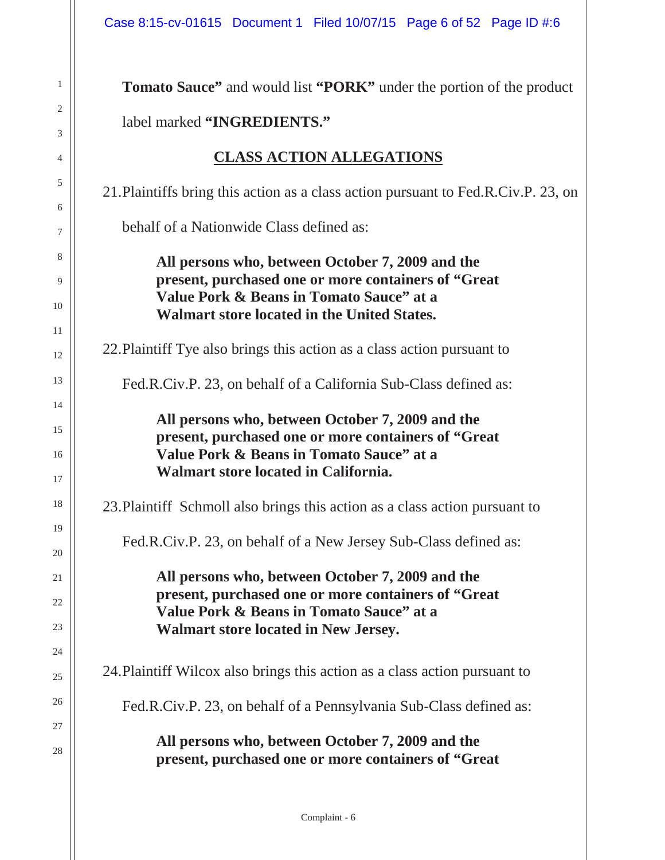1

2

3

4

5

6

7

8

9

10

11

12

13

14

15

16

17

18

19

20

21

22

23

24

25

26

27

28

| <b>Tomato Sauce"</b> and would list " <b>PORK</b> " under the portion of the product                                                                                                                |
|-----------------------------------------------------------------------------------------------------------------------------------------------------------------------------------------------------|
| label marked "INGREDIENTS."                                                                                                                                                                         |
| <b>CLASS ACTION ALLEGATIONS</b>                                                                                                                                                                     |
| 21. Plaintiffs bring this action as a class action pursuant to Fed.R.Civ.P. 23, on                                                                                                                  |
| behalf of a Nationwide Class defined as:                                                                                                                                                            |
| All persons who, between October 7, 2009 and the<br>present, purchased one or more containers of "Great<br>Value Pork & Beans in Tomato Sauce" at a<br>Walmart store located in the United States.  |
| 22. Plaintiff Tye also brings this action as a class action pursuant to                                                                                                                             |
| Fed.R.Civ.P. 23, on behalf of a California Sub-Class defined as:                                                                                                                                    |
| All persons who, between October 7, 2009 and the<br>present, purchased one or more containers of "Great<br>Value Pork & Beans in Tomato Sauce" at a<br>Walmart store located in California.         |
| 23. Plaintiff Schmoll also brings this action as a class action pursuant to                                                                                                                         |
| Fed.R.Civ.P. 23, on behalf of a New Jersey Sub-Class defined as:                                                                                                                                    |
| All persons who, between October 7, 2009 and the<br>present, purchased one or more containers of "Great"<br>Value Pork & Beans in Tomato Sauce" at a<br><b>Walmart store located in New Jersey.</b> |
| 24. Plaintiff Wilcox also brings this action as a class action pursuant to                                                                                                                          |
| Fed.R.Civ.P. 23, on behalf of a Pennsylvania Sub-Class defined as:                                                                                                                                  |
| All persons who, between October 7, 2009 and the<br>present, purchased one or more containers of "Great                                                                                             |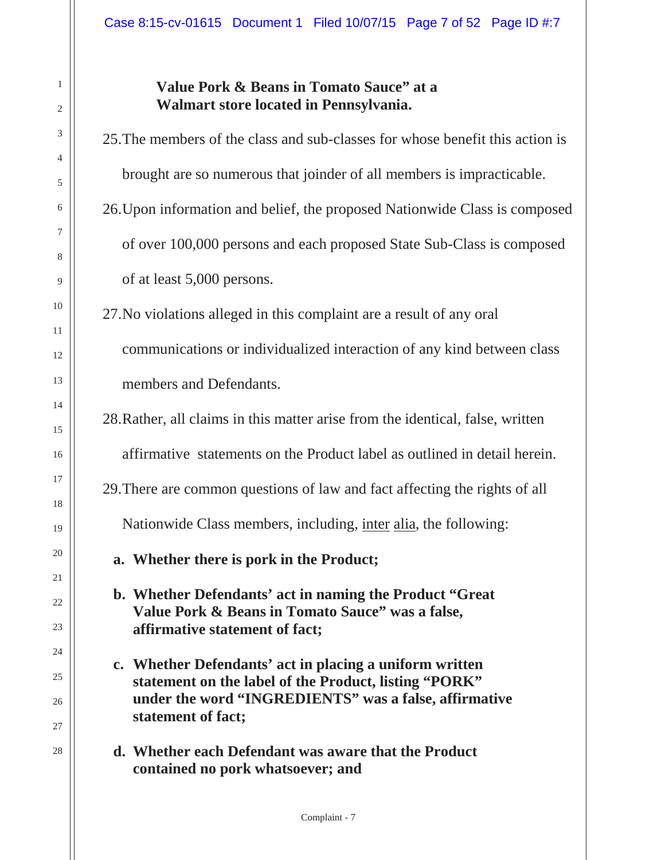#### **Value Pork & Beans in Tomato Sauce" at a Walmart store located in Pennsylvania.**

25.The members of the class and sub-classes for whose benefit this action is brought are so numerous that joinder of all members is impracticable.

26.Upon information and belief, the proposed Nationwide Class is composed of over 100,000 persons and each proposed State Sub-Class is composed of at least 5,000 persons.

27.No violations alleged in this complaint are a result of any oral communications or individualized interaction of any kind between class members and Defendants.

28.Rather, all claims in this matter arise from the identical, false, written

affirmative statements on the Product label as outlined in detail herein.

29.There are common questions of law and fact affecting the rights of all

Nationwide Class members, including, inter alia, the following:

**a. Whether there is pork in the Product;**

**b. Whether Defendants' act in naming the Product "Great Value Pork & Beans in Tomato Sauce" was a false, affirmative statement of fact;**

- **c. Whether Defendants' act in placing a uniform written statement on the label of the Product, listing "PORK" under the word "INGREDIENTS" was a false, affirmative statement of fact;**
- **d. Whether each Defendant was aware that the Product contained no pork whatsoever; and**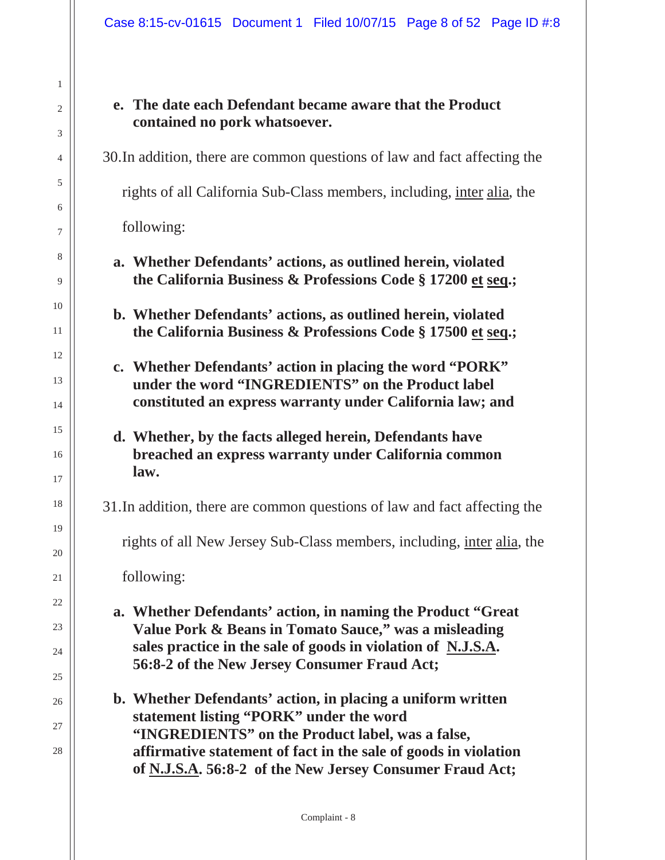#### **e. The date each Defendant became aware that the Product contained no pork whatsoever.**

30.In addition, there are common questions of law and fact affecting the

rights of all California Sub-Class members, including, inter alia, the

following:

1

2

3

4

5

6

7

8

9

10

11

12

13

14

15

16

17

18

19

20

21

22

23

24

25

26

27

28

- **a. Whether Defendants' actions, as outlined herein, violated the California Business & Professions Code § 17200 et seq.;**
- **b. Whether Defendants' actions, as outlined herein, violated the California Business & Professions Code § 17500 et seq.;**
- **c. Whether Defendants' action in placing the word "PORK" under the word "INGREDIENTS" on the Product label constituted an express warranty under California law; and**

#### **d. Whether, by the facts alleged herein, Defendants have breached an express warranty under California common law.**

31.In addition, there are common questions of law and fact affecting the

rights of all New Jersey Sub-Class members, including, inter alia, the

following:

- **a. Whether Defendants' action, in naming the Product "Great Value Pork & Beans in Tomato Sauce," was a misleading sales practice in the sale of goods in violation of N.J.S.A. 56:8-2 of the New Jersey Consumer Fraud Act;**
- **b. Whether Defendants' action, in placing a uniform written statement listing "PORK" under the word "INGREDIENTS" on the Product label, was a false, affirmative statement of fact in the sale of goods in violation of N.J.S.A. 56:8-2 of the New Jersey Consumer Fraud Act;**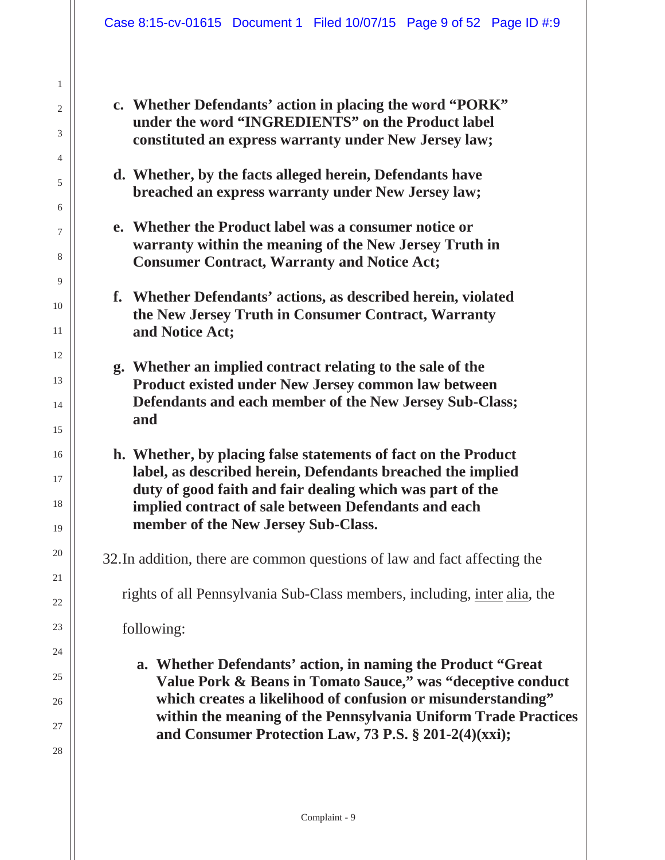**c. Whether Defendants' action in placing the word "PORK" under the word "INGREDIENTS" on the Product label constituted an express warranty under New Jersey law;**

- **d. Whether, by the facts alleged herein, Defendants have breached an express warranty under New Jersey law;**
- **e. Whether the Product label was a consumer notice or warranty within the meaning of the New Jersey Truth in Consumer Contract, Warranty and Notice Act;**
- **f. Whether Defendants' actions, as described herein, violated the New Jersey Truth in Consumer Contract, Warranty and Notice Act;**
- **g. Whether an implied contract relating to the sale of the Product existed under New Jersey common law between Defendants and each member of the New Jersey Sub-Class; and**
- **h. Whether, by placing false statements of fact on the Product label, as described herein, Defendants breached the implied duty of good faith and fair dealing which was part of the implied contract of sale between Defendants and each member of the New Jersey Sub-Class.**

32.In addition, there are common questions of law and fact affecting the

rights of all Pennsylvania Sub-Class members, including, inter alia, the

following:

1

2

3

4

5

6

7

8

9

10

11

12

13

14

15

16

17

18

19

20

21

22

23

24

25

26

27

28

**a. Whether Defendants' action, in naming the Product "Great Value Pork & Beans in Tomato Sauce," was "deceptive conduct which creates a likelihood of confusion or misunderstanding" within the meaning of the Pennsylvania Uniform Trade Practices and Consumer Protection Law, 73 P.S. § 201-2(4)(xxi);**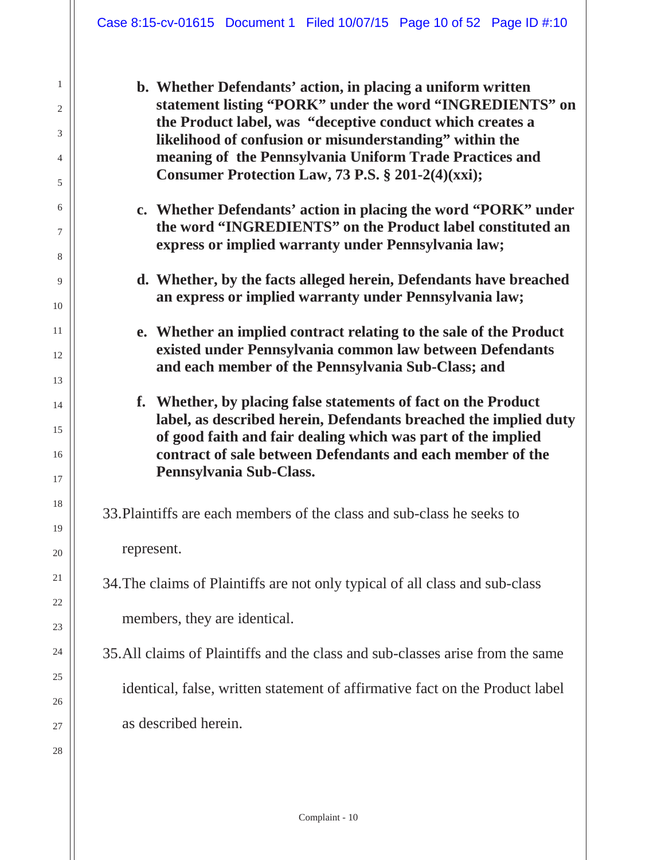**b. Whether Defendants' action, in placing a uniform written statement listing "PORK" under the word "INGREDIENTS" on the Product label, was "deceptive conduct which creates a likelihood of confusion or misunderstanding" within the meaning of the Pennsylvania Uniform Trade Practices and Consumer Protection Law, 73 P.S. § 201-2(4)(xxi);** 

- **c. Whether Defendants' action in placing the word "PORK" under the word "INGREDIENTS" on the Product label constituted an express or implied warranty under Pennsylvania law;**
- **d. Whether, by the facts alleged herein, Defendants have breached an express or implied warranty under Pennsylvania law;**
- **e. Whether an implied contract relating to the sale of the Product existed under Pennsylvania common law between Defendants and each member of the Pennsylvania Sub-Class; and**
- **f. Whether, by placing false statements of fact on the Product label, as described herein, Defendants breached the implied duty of good faith and fair dealing which was part of the implied contract of sale between Defendants and each member of the Pennsylvania Sub-Class.**

33.Plaintiffs are each members of the class and sub-class he seeks to

represent.

- 34.The claims of Plaintiffs are not only typical of all class and sub-class members, they are identical.
- 35.All claims of Plaintiffs and the class and sub-classes arise from the same identical, false, written statement of affirmative fact on the Product label as described herein.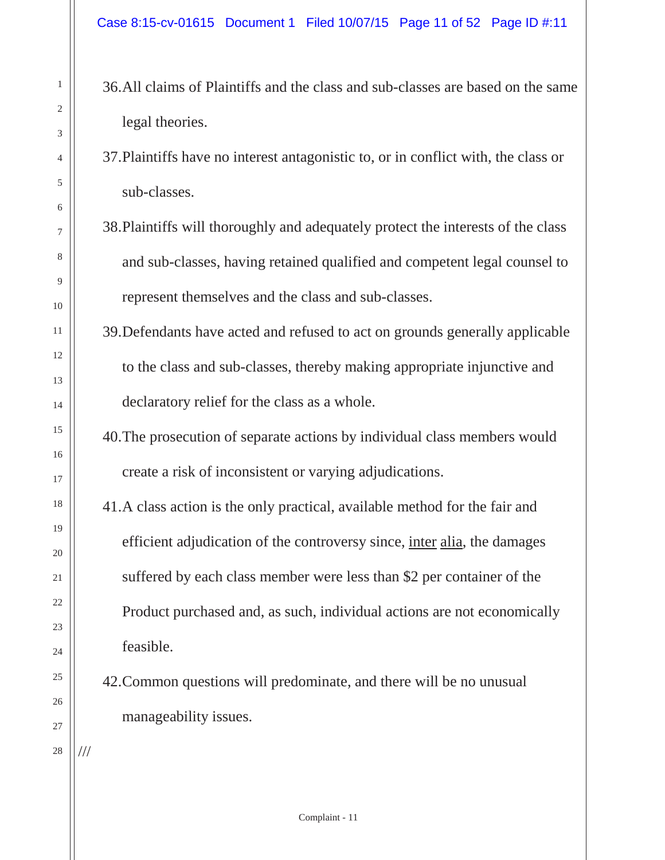- 36.All claims of Plaintiffs and the class and sub-classes are based on the same legal theories.
- 37.Plaintiffs have no interest antagonistic to, or in conflict with, the class or sub-classes.
- 38.Plaintiffs will thoroughly and adequately protect the interests of the class and sub-classes, having retained qualified and competent legal counsel to represent themselves and the class and sub-classes.
- 39.Defendants have acted and refused to act on grounds generally applicable to the class and sub-classes, thereby making appropriate injunctive and declaratory relief for the class as a whole.
- 40.The prosecution of separate actions by individual class members would create a risk of inconsistent or varying adjudications.
- 41.A class action is the only practical, available method for the fair and efficient adjudication of the controversy since, inter alia, the damages suffered by each class member were less than \$2 per container of the Product purchased and, as such, individual actions are not economically feasible.
- 42.Common questions will predominate, and there will be no unusual manageability issues.

///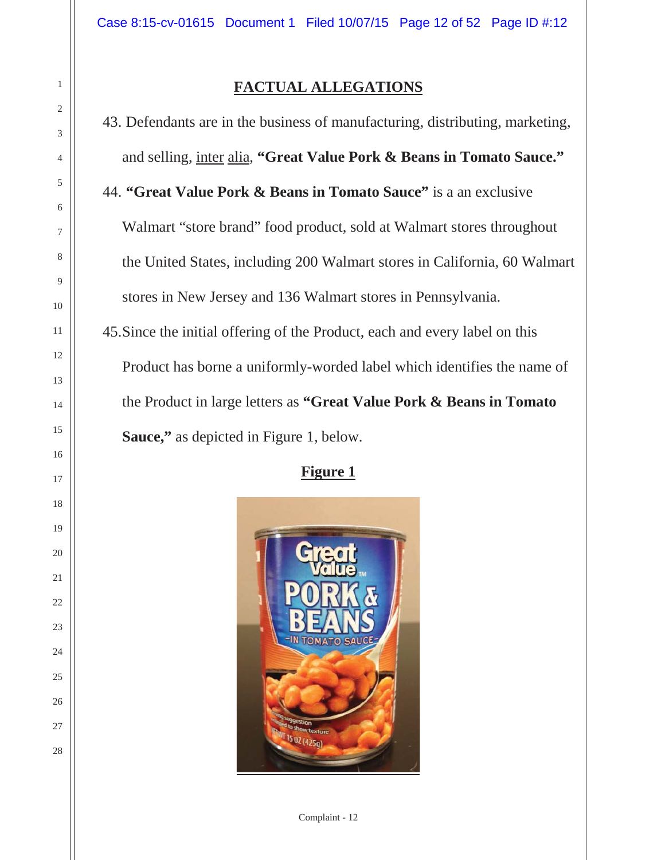#### **FACTUAL ALLEGATIONS**

43. Defendants are in the business of manufacturing, distributing, marketing, and selling, inter alia, **"Great Value Pork & Beans in Tomato Sauce."**  44. **"Great Value Pork & Beans in Tomato Sauce"** is a an exclusive Walmart "store brand" food product, sold at Walmart stores throughout the United States, including 200 Walmart stores in California, 60 Walmart stores in New Jersey and 136 Walmart stores in Pennsylvania. 45.Since the initial offering of the Product, each and every label on this Product has borne a uniformly-worded label which identifies the name of the Product in large letters as **"Great Value Pork & Beans in Tomato Sauce,"** as depicted in Figure 1, below.

#### **Figure 1**



Complaint - 12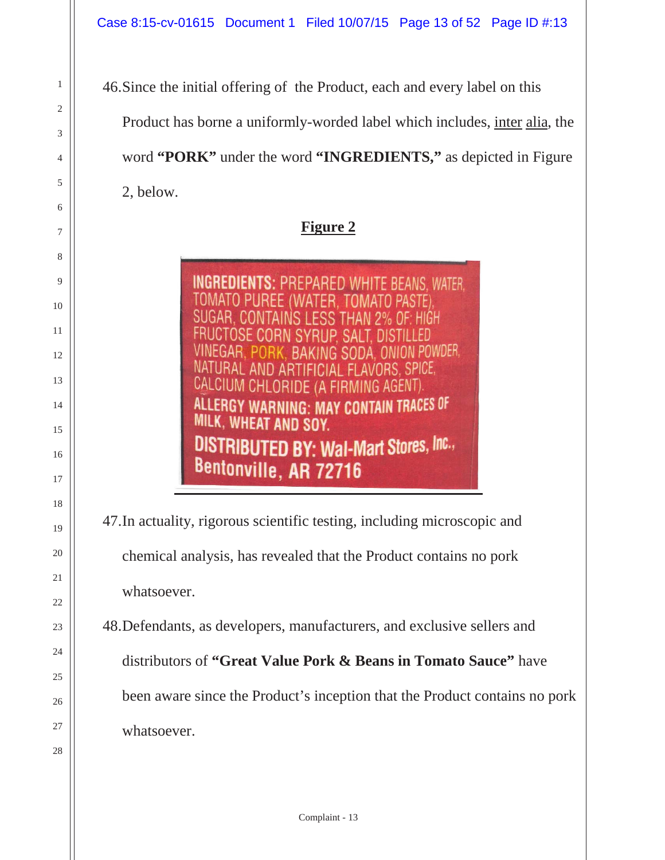46.Since the initial offering of the Product, each and every label on this Product has borne a uniformly-worded label which includes, inter alia, the word **"PORK"** under the word **"INGREDIENTS,"** as depicted in Figure 2, below.

**Figure 2**

**INGREDIENTS: PREPARED WHITE BEANS, WATER,** TOMATO PUREE (WATER, T **SUGA** POWDER. ING SODA NATURAL AND ARTIFICIAL FLAVORS, SPICE, CALCIUM CHLORIDE (A FIRMING AGENT). ERGY WARNING: MAY CONTAIN TRACES OF MILK, WHEAT AND SOY. DISTRIBUTED BY: Wal-Mart Stores, Inc., Bentonville, AR 72716

47.In actuality, rigorous scientific testing, including microscopic and chemical analysis, has revealed that the Product contains no pork whatsoever.

48.Defendants, as developers, manufacturers, and exclusive sellers and distributors of **"Great Value Pork & Beans in Tomato Sauce"** have been aware since the Product's inception that the Product contains no pork whatsoever.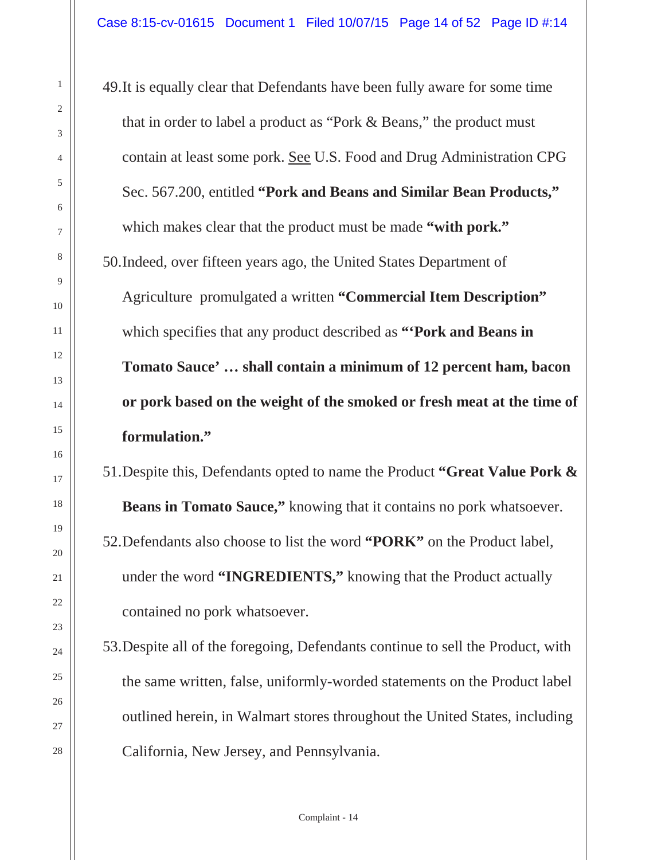49.It is equally clear that Defendants have been fully aware for some time that in order to label a product as "Pork & Beans," the product must contain at least some pork. See U.S. Food and Drug Administration CPG Sec. 567.200, entitled **"Pork and Beans and Similar Bean Products,"** which makes clear that the product must be made **"with pork."** 50.Indeed, over fifteen years ago, the United States Department of Agriculture promulgated a written **"Commercial Item Description"** which specifies that any product described as **"'Pork and Beans in Tomato Sauce' … shall contain a minimum of 12 percent ham, bacon or pork based on the weight of the smoked or fresh meat at the time of formulation."** 

51.Despite this, Defendants opted to name the Product **"Great Value Pork & Beans in Tomato Sauce,"** knowing that it contains no pork whatsoever. 52.Defendants also choose to list the word **"PORK"** on the Product label, under the word **"INGREDIENTS,"** knowing that the Product actually contained no pork whatsoever.

53.Despite all of the foregoing, Defendants continue to sell the Product, with the same written, false, uniformly-worded statements on the Product label outlined herein, in Walmart stores throughout the United States, including California, New Jersey, and Pennsylvania.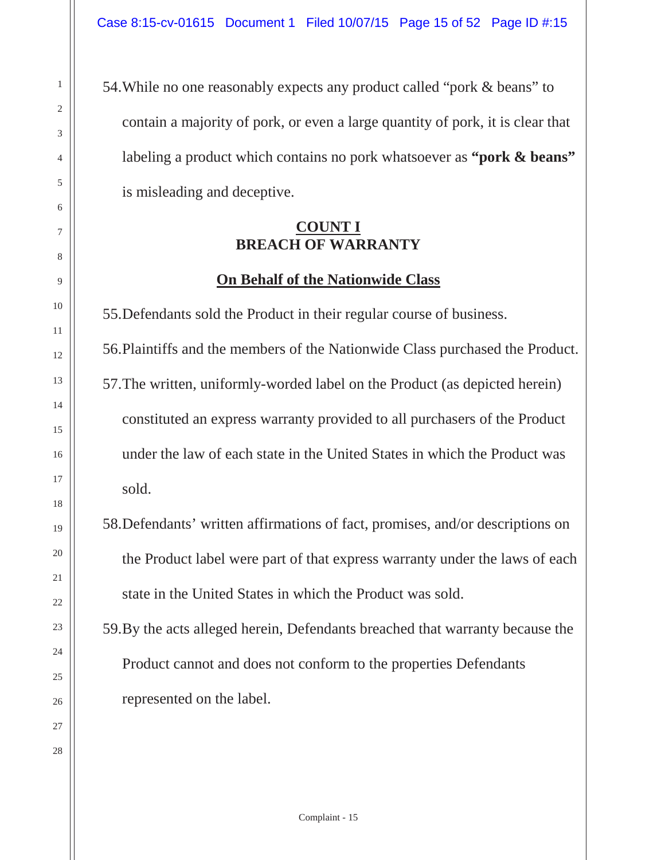54.While no one reasonably expects any product called "pork & beans" to contain a majority of pork, or even a large quantity of pork, it is clear that labeling a product which contains no pork whatsoever as **"pork & beans"** is misleading and deceptive.

#### **COUNT I BREACH OF WARRANTY**

#### **On Behalf of the Nationwide Class**

55.Defendants sold the Product in their regular course of business.

56.Plaintiffs and the members of the Nationwide Class purchased the Product. 57.The written, uniformly-worded label on the Product (as depicted herein) constituted an express warranty provided to all purchasers of the Product under the law of each state in the United States in which the Product was sold.

58.Defendants' written affirmations of fact, promises, and/or descriptions on the Product label were part of that express warranty under the laws of each state in the United States in which the Product was sold.

59.By the acts alleged herein, Defendants breached that warranty because the Product cannot and does not conform to the properties Defendants represented on the label.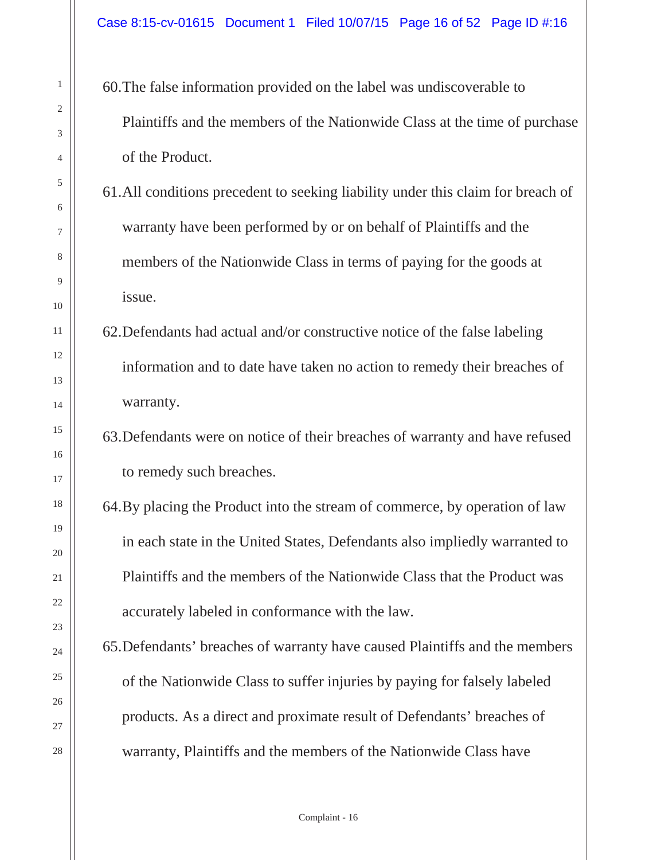60.The false information provided on the label was undiscoverable to Plaintiffs and the members of the Nationwide Class at the time of purchase of the Product.

- 61.All conditions precedent to seeking liability under this claim for breach of warranty have been performed by or on behalf of Plaintiffs and the members of the Nationwide Class in terms of paying for the goods at issue.
- 62.Defendants had actual and/or constructive notice of the false labeling information and to date have taken no action to remedy their breaches of warranty.

# 63.Defendants were on notice of their breaches of warranty and have refused to remedy such breaches.

- 64.By placing the Product into the stream of commerce, by operation of law in each state in the United States, Defendants also impliedly warranted to Plaintiffs and the members of the Nationwide Class that the Product was accurately labeled in conformance with the law.
- 65.Defendants' breaches of warranty have caused Plaintiffs and the members of the Nationwide Class to suffer injuries by paying for falsely labeled products. As a direct and proximate result of Defendants' breaches of warranty, Plaintiffs and the members of the Nationwide Class have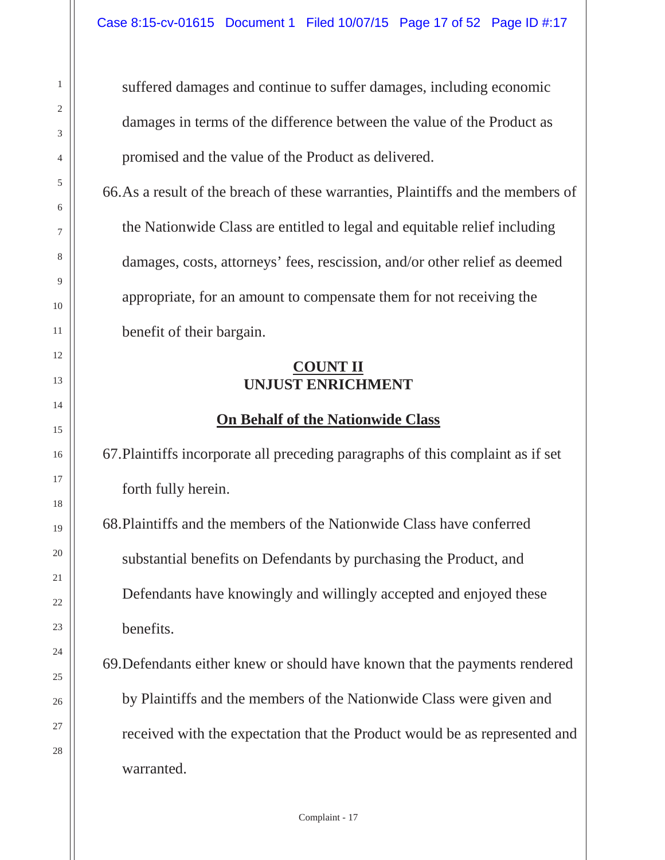suffered damages and continue to suffer damages, including economic damages in terms of the difference between the value of the Product as promised and the value of the Product as delivered.

66.As a result of the breach of these warranties, Plaintiffs and the members of the Nationwide Class are entitled to legal and equitable relief including damages, costs, attorneys' fees, rescission, and/or other relief as deemed appropriate, for an amount to compensate them for not receiving the benefit of their bargain.

#### **COUNT II UNJUST ENRICHMENT**

#### **On Behalf of the Nationwide Class**

67.Plaintiffs incorporate all preceding paragraphs of this complaint as if set forth fully herein.

68.Plaintiffs and the members of the Nationwide Class have conferred substantial benefits on Defendants by purchasing the Product, and Defendants have knowingly and willingly accepted and enjoyed these benefits.

69.Defendants either knew or should have known that the payments rendered by Plaintiffs and the members of the Nationwide Class were given and received with the expectation that the Product would be as represented and warranted.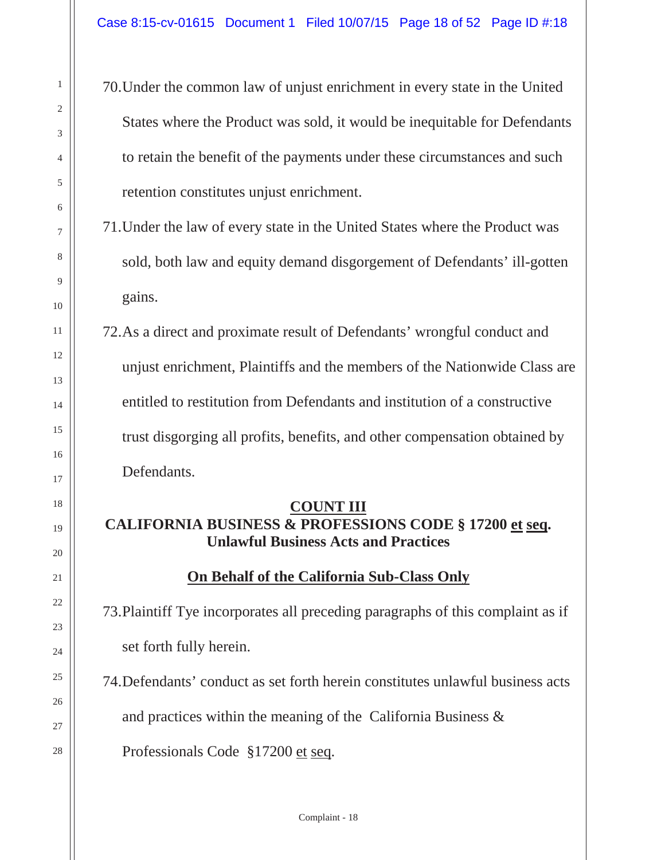70.Under the common law of unjust enrichment in every state in the United States where the Product was sold, it would be inequitable for Defendants to retain the benefit of the payments under these circumstances and such retention constitutes unjust enrichment.

71.Under the law of every state in the United States where the Product was sold, both law and equity demand disgorgement of Defendants' ill-gotten gains.

72.As a direct and proximate result of Defendants' wrongful conduct and unjust enrichment, Plaintiffs and the members of the Nationwide Class are entitled to restitution from Defendants and institution of a constructive trust disgorging all profits, benefits, and other compensation obtained by Defendants.

#### **COUNT III**

### **CALIFORNIA BUSINESS & PROFESSIONS CODE § 17200 et seq. Unlawful Business Acts and Practices**

#### **On Behalf of the California Sub-Class Only**

73.Plaintiff Tye incorporates all preceding paragraphs of this complaint as if set forth fully herein.

74.Defendants' conduct as set forth herein constitutes unlawful business acts and practices within the meaning of the California Business &

Professionals Code §17200 et seq.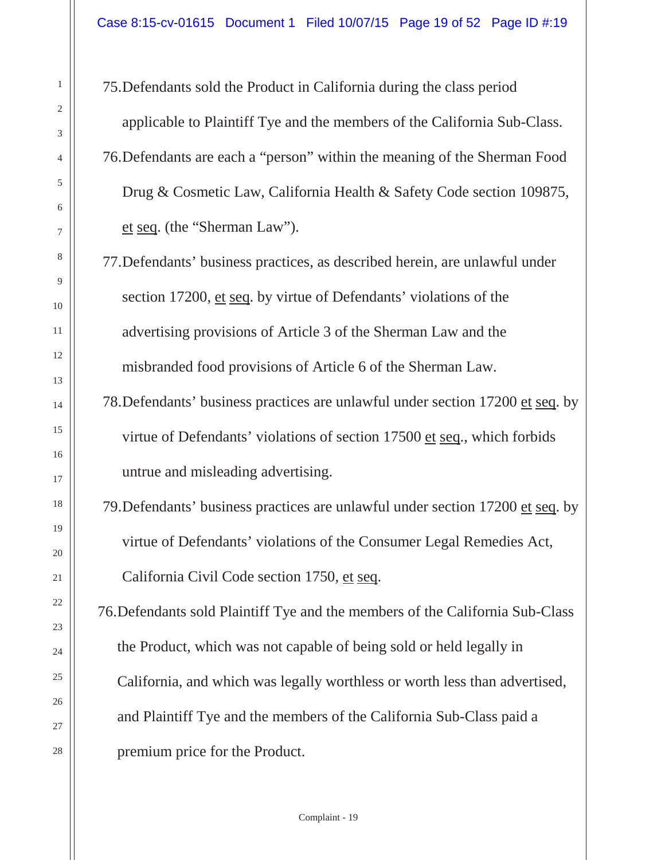75.Defendants sold the Product in California during the class period applicable to Plaintiff Tye and the members of the California Sub-Class. 76.Defendants are each a "person" within the meaning of the Sherman Food Drug & Cosmetic Law, California Health & Safety Code section 109875, et seq. (the "Sherman Law").

- 77.Defendants' business practices, as described herein, are unlawful under section 17200, et seq. by virtue of Defendants' violations of the advertising provisions of Article 3 of the Sherman Law and the misbranded food provisions of Article 6 of the Sherman Law.
- 78.Defendants' business practices are unlawful under section 17200 et seq. by virtue of Defendants' violations of section 17500 et seq., which forbids untrue and misleading advertising.
- 79.Defendants' business practices are unlawful under section 17200 et seq. by virtue of Defendants' violations of the Consumer Legal Remedies Act, California Civil Code section 1750, et seq.

76.Defendants sold Plaintiff Tye and the members of the California Sub-Class the Product, which was not capable of being sold or held legally in California, and which was legally worthless or worth less than advertised, and Plaintiff Tye and the members of the California Sub-Class paid a premium price for the Product.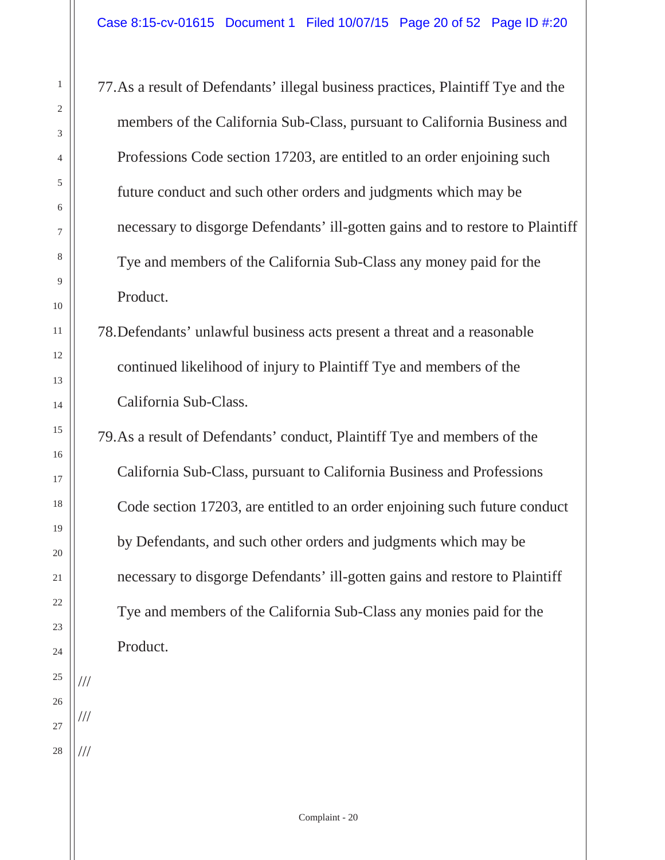77.As a result of Defendants' illegal business practices, Plaintiff Tye and the members of the California Sub-Class, pursuant to California Business and Professions Code section 17203, are entitled to an order enjoining such future conduct and such other orders and judgments which may be necessary to disgorge Defendants' ill-gotten gains and to restore to Plaintiff Tye and members of the California Sub-Class any money paid for the Product.

78.Defendants' unlawful business acts present a threat and a reasonable continued likelihood of injury to Plaintiff Tye and members of the California Sub-Class.

79.As a result of Defendants' conduct, Plaintiff Tye and members of the California Sub-Class, pursuant to California Business and Professions Code section 17203, are entitled to an order enjoining such future conduct by Defendants, and such other orders and judgments which may be necessary to disgorge Defendants' ill-gotten gains and restore to Plaintiff Tye and members of the California Sub-Class any monies paid for the Product.

///

///

///

1

2

3

4

5

6

7

8

9

10

11

12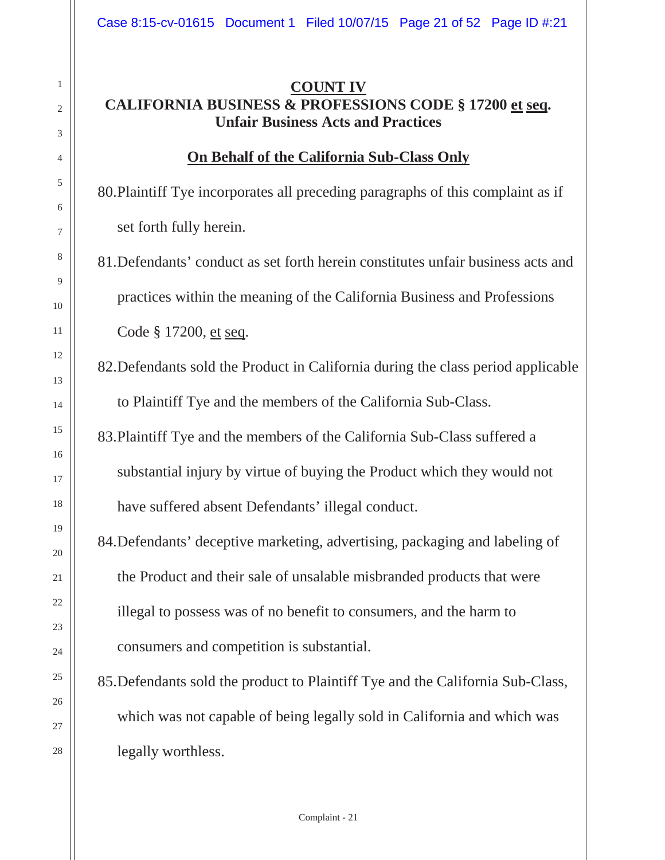#### **COUNT IV CALIFORNIA BUSINESS & PROFESSIONS CODE § 17200 et seq. Unfair Business Acts and Practices**

#### **On Behalf of the California Sub-Class Only**

80.Plaintiff Tye incorporates all preceding paragraphs of this complaint as if set forth fully herein.

81.Defendants' conduct as set forth herein constitutes unfair business acts and practices within the meaning of the California Business and Professions Code § 17200, et seq.

82.Defendants sold the Product in California during the class period applicable to Plaintiff Tye and the members of the California Sub-Class.

83.Plaintiff Tye and the members of the California Sub-Class suffered a substantial injury by virtue of buying the Product which they would not have suffered absent Defendants' illegal conduct.

84.Defendants' deceptive marketing, advertising, packaging and labeling of the Product and their sale of unsalable misbranded products that were illegal to possess was of no benefit to consumers, and the harm to consumers and competition is substantial.

85.Defendants sold the product to Plaintiff Tye and the California Sub-Class, which was not capable of being legally sold in California and which was legally worthless.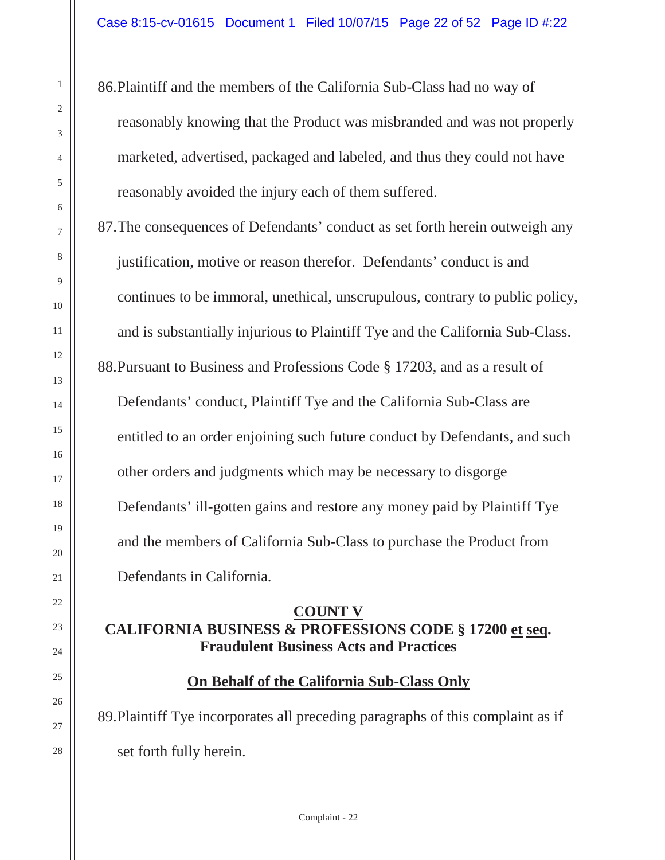86.Plaintiff and the members of the California Sub-Class had no way of reasonably knowing that the Product was misbranded and was not properly marketed, advertised, packaged and labeled, and thus they could not have reasonably avoided the injury each of them suffered.

87.The consequences of Defendants' conduct as set forth herein outweigh any justification, motive or reason therefor. Defendants' conduct is and continues to be immoral, unethical, unscrupulous, contrary to public policy, and is substantially injurious to Plaintiff Tye and the California Sub-Class. 88.Pursuant to Business and Professions Code § 17203, and as a result of Defendants' conduct, Plaintiff Tye and the California Sub-Class are entitled to an order enjoining such future conduct by Defendants, and such other orders and judgments which may be necessary to disgorge Defendants' ill-gotten gains and restore any money paid by Plaintiff Tye and the members of California Sub-Class to purchase the Product from Defendants in California.

#### **COUNT V CALIFORNIA BUSINESS & PROFESSIONS CODE § 17200 et seq. Fraudulent Business Acts and Practices**

#### **On Behalf of the California Sub-Class Only**

89.Plaintiff Tye incorporates all preceding paragraphs of this complaint as if set forth fully herein.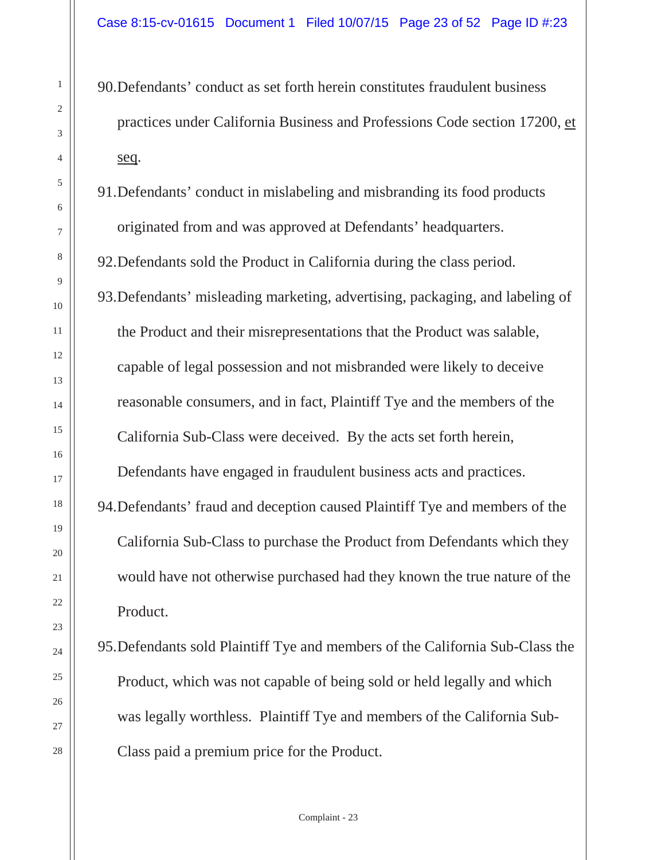90.Defendants' conduct as set forth herein constitutes fraudulent business practices under California Business and Professions Code section 17200, et seq.

91.Defendants' conduct in mislabeling and misbranding its food products originated from and was approved at Defendants' headquarters.

92.Defendants sold the Product in California during the class period.

93.Defendants' misleading marketing, advertising, packaging, and labeling of the Product and their misrepresentations that the Product was salable, capable of legal possession and not misbranded were likely to deceive reasonable consumers, and in fact, Plaintiff Tye and the members of the California Sub-Class were deceived. By the acts set forth herein,

Defendants have engaged in fraudulent business acts and practices.

94.Defendants' fraud and deception caused Plaintiff Tye and members of the California Sub-Class to purchase the Product from Defendants which they would have not otherwise purchased had they known the true nature of the Product.

95.Defendants sold Plaintiff Tye and members of the California Sub-Class the Product, which was not capable of being sold or held legally and which was legally worthless. Plaintiff Tye and members of the California Sub-Class paid a premium price for the Product.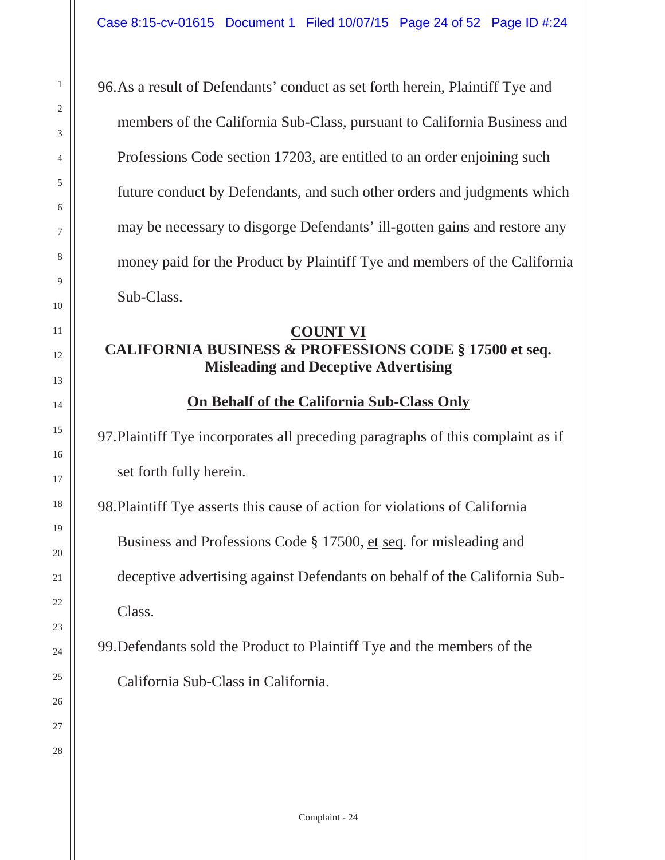96.As a result of Defendants' conduct as set forth herein, Plaintiff Tye and members of the California Sub-Class, pursuant to California Business and Professions Code section 17203, are entitled to an order enjoining such future conduct by Defendants, and such other orders and judgments which may be necessary to disgorge Defendants' ill-gotten gains and restore any money paid for the Product by Plaintiff Tye and members of the California Sub-Class.

#### **COUNT VI CALIFORNIA BUSINESS & PROFESSIONS CODE § 17500 et seq. Misleading and Deceptive Advertising**

#### **On Behalf of the California Sub-Class Only**

97.Plaintiff Tye incorporates all preceding paragraphs of this complaint as if set forth fully herein.

98.Plaintiff Tye asserts this cause of action for violations of California Business and Professions Code § 17500, et seq. for misleading and deceptive advertising against Defendants on behalf of the California Sub-Class.

99.Defendants sold the Product to Plaintiff Tye and the members of the California Sub-Class in California.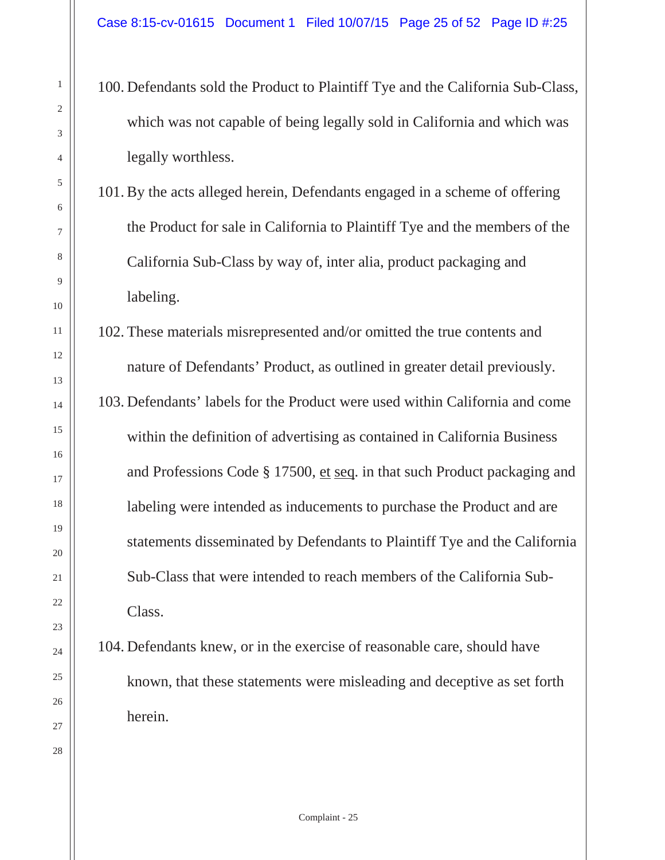- 100. Defendants sold the Product to Plaintiff Tye and the California Sub-Class, which was not capable of being legally sold in California and which was legally worthless.
- 101. By the acts alleged herein, Defendants engaged in a scheme of offering the Product for sale in California to Plaintiff Tye and the members of the California Sub-Class by way of, inter alia, product packaging and labeling.

102. These materials misrepresented and/or omitted the true contents and nature of Defendants' Product, as outlined in greater detail previously. 103. Defendants' labels for the Product were used within California and come within the definition of advertising as contained in California Business and Professions Code § 17500, et seq. in that such Product packaging and labeling were intended as inducements to purchase the Product and are statements disseminated by Defendants to Plaintiff Tye and the California Sub-Class that were intended to reach members of the California Sub-Class.

104. Defendants knew, or in the exercise of reasonable care, should have known, that these statements were misleading and deceptive as set forth herein.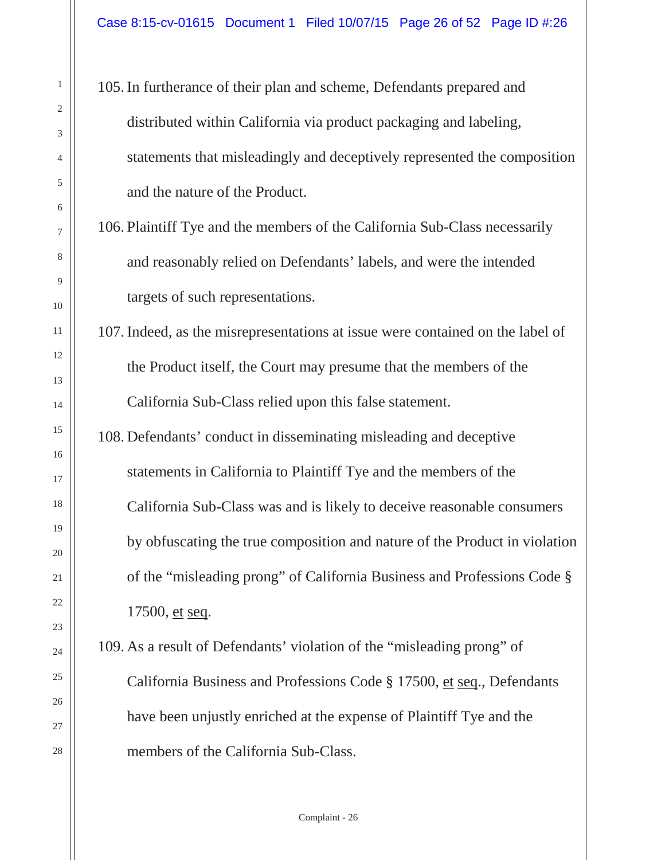105. In furtherance of their plan and scheme, Defendants prepared and distributed within California via product packaging and labeling, statements that misleadingly and deceptively represented the composition and the nature of the Product.

106. Plaintiff Tye and the members of the California Sub-Class necessarily and reasonably relied on Defendants' labels, and were the intended targets of such representations.

107. Indeed, as the misrepresentations at issue were contained on the label of the Product itself, the Court may presume that the members of the California Sub-Class relied upon this false statement.

108. Defendants' conduct in disseminating misleading and deceptive statements in California to Plaintiff Tye and the members of the California Sub-Class was and is likely to deceive reasonable consumers by obfuscating the true composition and nature of the Product in violation of the "misleading prong" of California Business and Professions Code § 17500, et seq.

109. As a result of Defendants' violation of the "misleading prong" of California Business and Professions Code § 17500, et seq., Defendants have been unjustly enriched at the expense of Plaintiff Tye and the members of the California Sub-Class.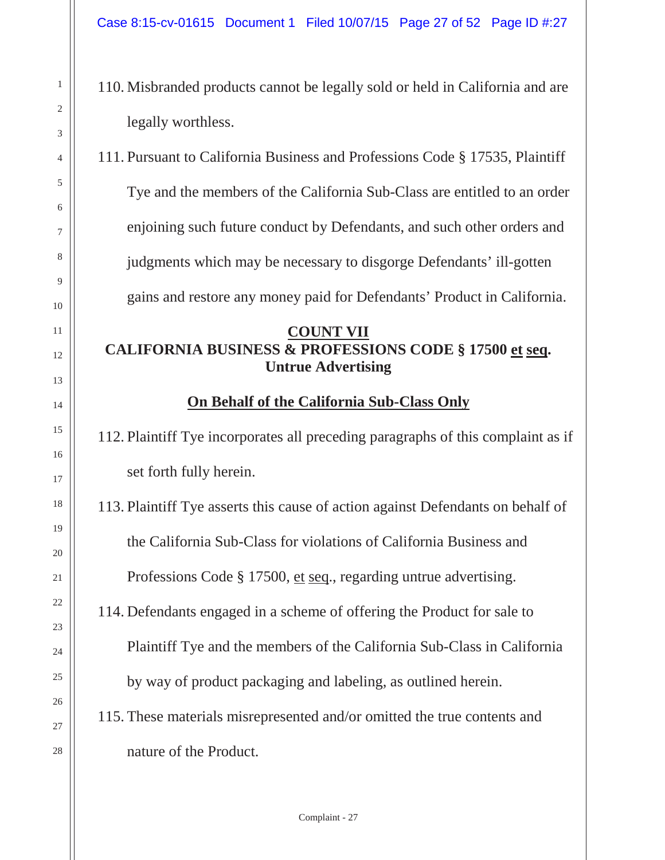- 110. Misbranded products cannot be legally sold or held in California and are legally worthless.
- 111. Pursuant to California Business and Professions Code § 17535, Plaintiff Tye and the members of the California Sub-Class are entitled to an order enjoining such future conduct by Defendants, and such other orders and judgments which may be necessary to disgorge Defendants' ill-gotten gains and restore any money paid for Defendants' Product in California.

#### **COUNT VII CALIFORNIA BUSINESS & PROFESSIONS CODE § 17500 et seq. Untrue Advertising**

#### **On Behalf of the California Sub-Class Only**

112. Plaintiff Tye incorporates all preceding paragraphs of this complaint as if set forth fully herein.

113. Plaintiff Tye asserts this cause of action against Defendants on behalf of the California Sub-Class for violations of California Business and Professions Code § 17500, et seq., regarding untrue advertising.

114. Defendants engaged in a scheme of offering the Product for sale to Plaintiff Tye and the members of the California Sub-Class in California by way of product packaging and labeling, as outlined herein.

115. These materials misrepresented and/or omitted the true contents and nature of the Product.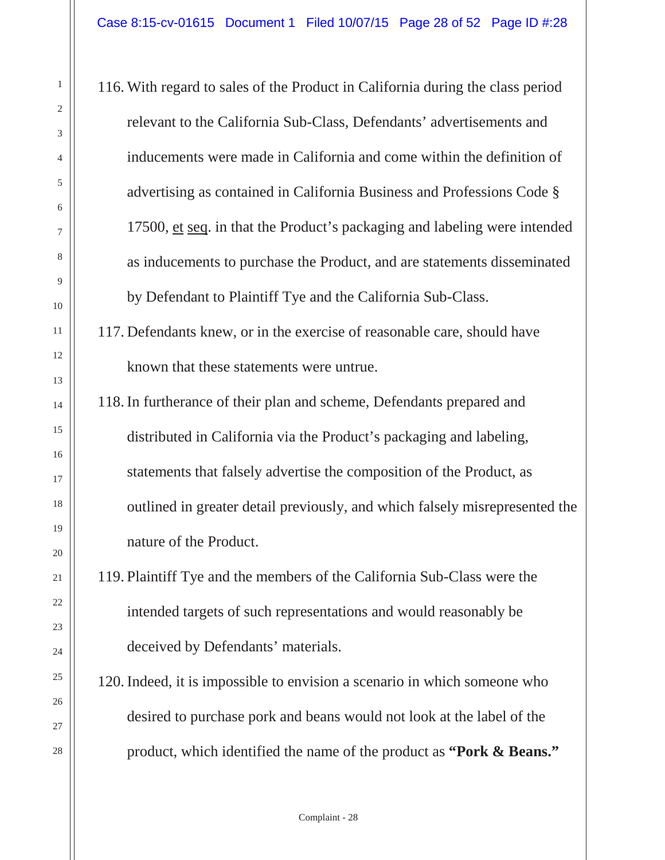116. With regard to sales of the Product in California during the class period relevant to the California Sub-Class, Defendants' advertisements and inducements were made in California and come within the definition of advertising as contained in California Business and Professions Code § 17500, et seq. in that the Product's packaging and labeling were intended as inducements to purchase the Product, and are statements disseminated by Defendant to Plaintiff Tye and the California Sub-Class.

117. Defendants knew, or in the exercise of reasonable care, should have known that these statements were untrue.

118. In furtherance of their plan and scheme, Defendants prepared and distributed in California via the Product's packaging and labeling, statements that falsely advertise the composition of the Product, as outlined in greater detail previously, and which falsely misrepresented the nature of the Product.

119. Plaintiff Tye and the members of the California Sub-Class were the intended targets of such representations and would reasonably be deceived by Defendants' materials.

120. Indeed, it is impossible to envision a scenario in which someone who desired to purchase pork and beans would not look at the label of the product, which identified the name of the product as **"Pork & Beans."**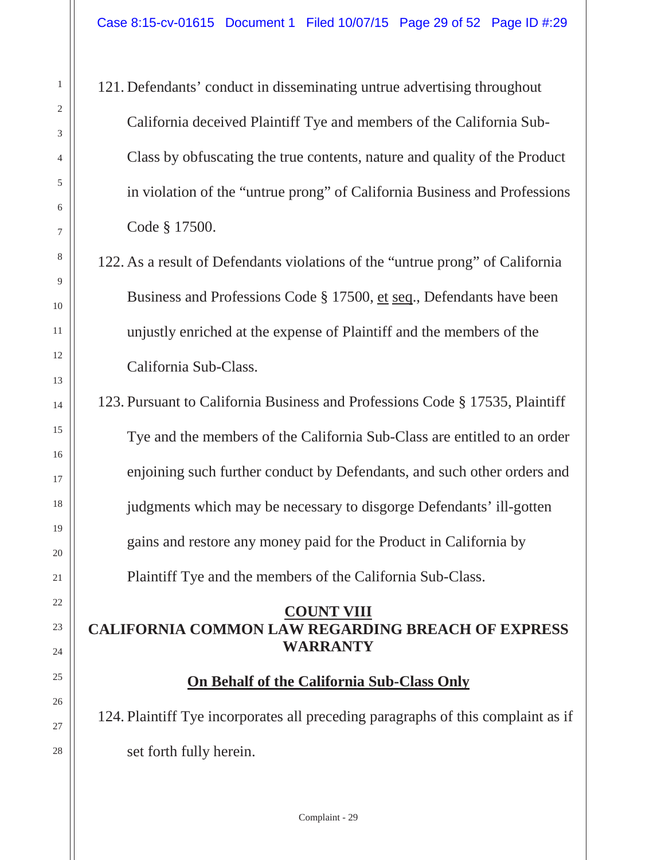121. Defendants' conduct in disseminating untrue advertising throughout California deceived Plaintiff Tye and members of the California Sub-Class by obfuscating the true contents, nature and quality of the Product in violation of the "untrue prong" of California Business and Professions Code § 17500.

122. As a result of Defendants violations of the "untrue prong" of California Business and Professions Code § 17500, et seq., Defendants have been unjustly enriched at the expense of Plaintiff and the members of the California Sub-Class.

123. Pursuant to California Business and Professions Code § 17535, Plaintiff Tye and the members of the California Sub-Class are entitled to an order enjoining such further conduct by Defendants, and such other orders and judgments which may be necessary to disgorge Defendants' ill-gotten gains and restore any money paid for the Product in California by Plaintiff Tye and the members of the California Sub-Class.

#### **COUNT VIII CALIFORNIA COMMON LAW REGARDING BREACH OF EXPRESS WARRANTY**

#### **On Behalf of the California Sub-Class Only**

124. Plaintiff Tye incorporates all preceding paragraphs of this complaint as if set forth fully herein.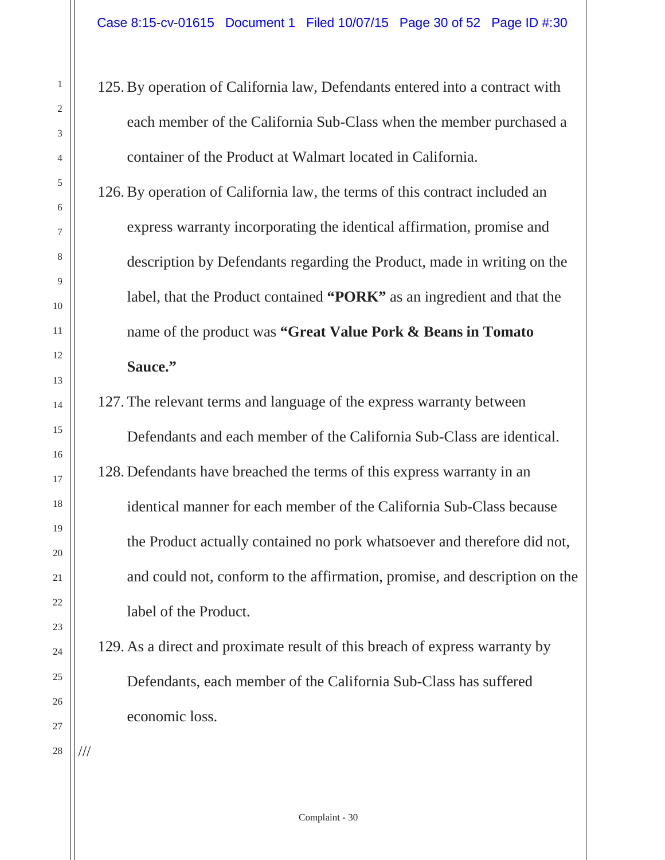125. By operation of California law, Defendants entered into a contract with each member of the California Sub-Class when the member purchased a container of the Product at Walmart located in California.

126. By operation of California law, the terms of this contract included an express warranty incorporating the identical affirmation, promise and description by Defendants regarding the Product, made in writing on the label, that the Product contained **"PORK"** as an ingredient and that the name of the product was **"Great Value Pork & Beans in Tomato Sauce."**

- 127. The relevant terms and language of the express warranty between Defendants and each member of the California Sub-Class are identical. 128. Defendants have breached the terms of this express warranty in an identical manner for each member of the California Sub-Class because the Product actually contained no pork whatsoever and therefore did not, and could not, conform to the affirmation, promise, and description on the label of the Product.
- 129. As a direct and proximate result of this breach of express warranty by Defendants, each member of the California Sub-Class has suffered economic loss.
- 25 26 27 28 ///

1

2

3

4

5

6

7

8

9

10

11

12

13

14

15

16

17

18

19

20

21

22

23

24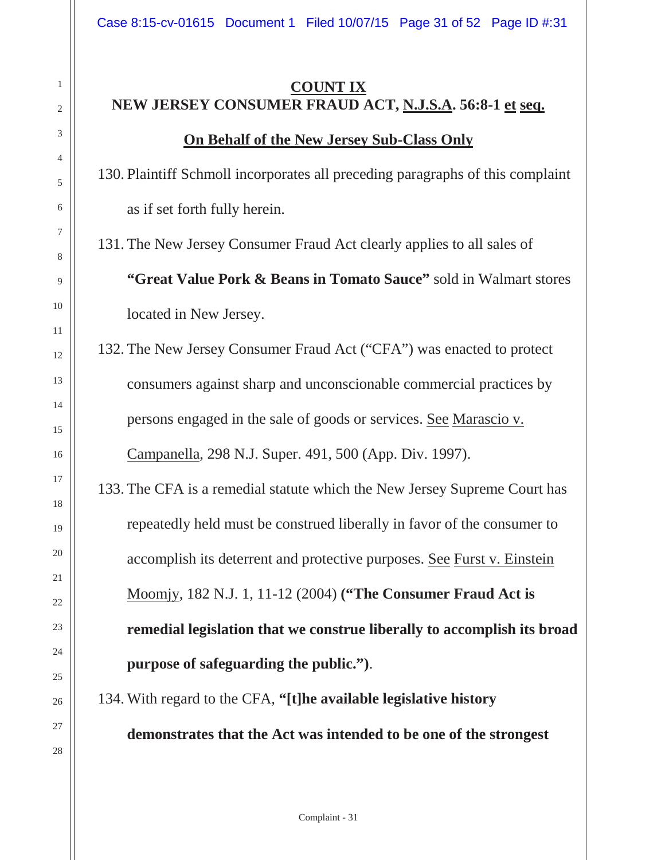## **COUNT IX NEW JERSEY CONSUMER FRAUD ACT, N.J.S.A. 56:8-1 et seq. On Behalf of the New Jersey Sub-Class Only**

130. Plaintiff Schmoll incorporates all preceding paragraphs of this complaint as if set forth fully herein.

131. The New Jersey Consumer Fraud Act clearly applies to all sales of **"Great Value Pork & Beans in Tomato Sauce"** sold in Walmart stores located in New Jersey.

132. The New Jersey Consumer Fraud Act ("CFA") was enacted to protect consumers against sharp and unconscionable commercial practices by persons engaged in the sale of goods or services. See Marascio v. Campanella, 298 N.J. Super. 491, 500 (App. Div. 1997).

133. The CFA is a remedial statute which the New Jersey Supreme Court has repeatedly held must be construed liberally in favor of the consumer to accomplish its deterrent and protective purposes. See Furst v. Einstein Moomjy, 182 N.J. 1, 11-12 (2004) **("The Consumer Fraud Act is remedial legislation that we construe liberally to accomplish its broad purpose of safeguarding the public.")**.

134. With regard to the CFA, **"[t]he available legislative history** 

**demonstrates that the Act was intended to be one of the strongest**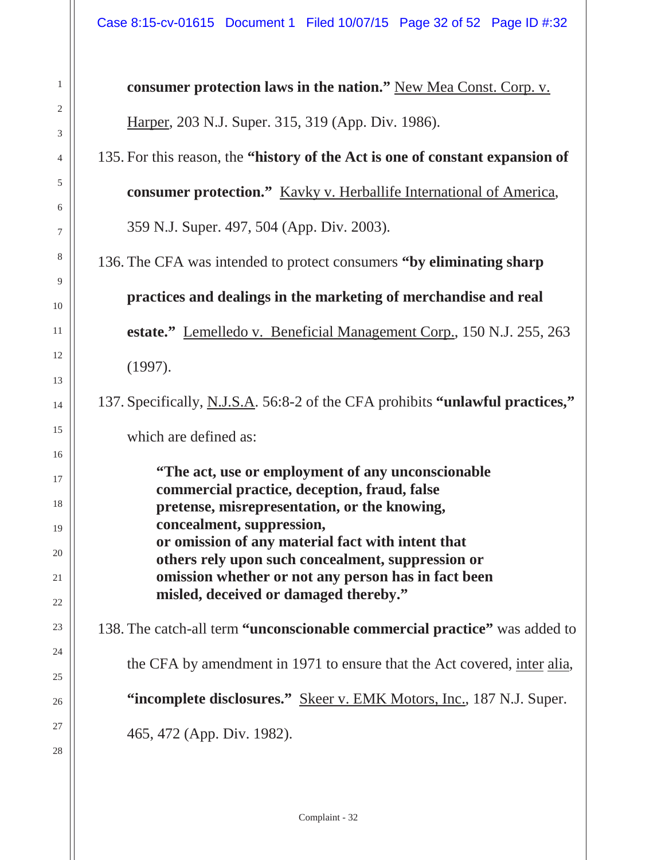1

2

3

4

5

6

7

8

9

10

11

12

13

14

15

16

17

18

19

20

21

22

23

24

25

26

27

28

**consumer protection laws in the nation."** New Mea Const. Corp. v. Harper, 203 N.J. Super. 315, 319 (App. Div. 1986). 135. For this reason, the **"history of the Act is one of constant expansion of consumer protection."** Kavky v. Herballife International of America, 359 N.J. Super. 497, 504 (App. Div. 2003). 136. The CFA was intended to protect consumers **"by eliminating sharp practices and dealings in the marketing of merchandise and real estate."** Lemelledo v. Beneficial Management Corp., 150 N.J. 255, 263 (1997). 137. Specifically, N.J.S.A. 56:8-2 of the CFA prohibits **"unlawful practices,"** which are defined as: **"The act, use or employment of any unconscionable commercial practice, deception, fraud, false pretense, misrepresentation, or the knowing, concealment, suppression, or omission of any material fact with intent that others rely upon such concealment, suppression or omission whether or not any person has in fact been misled, deceived or damaged thereby."** 138. The catch-all term **"unconscionable commercial practice"** was added to the CFA by amendment in 1971 to ensure that the Act covered, inter alia, **"incomplete disclosures."** Skeer v. EMK Motors, Inc., 187 N.J. Super. 465, 472 (App. Div. 1982).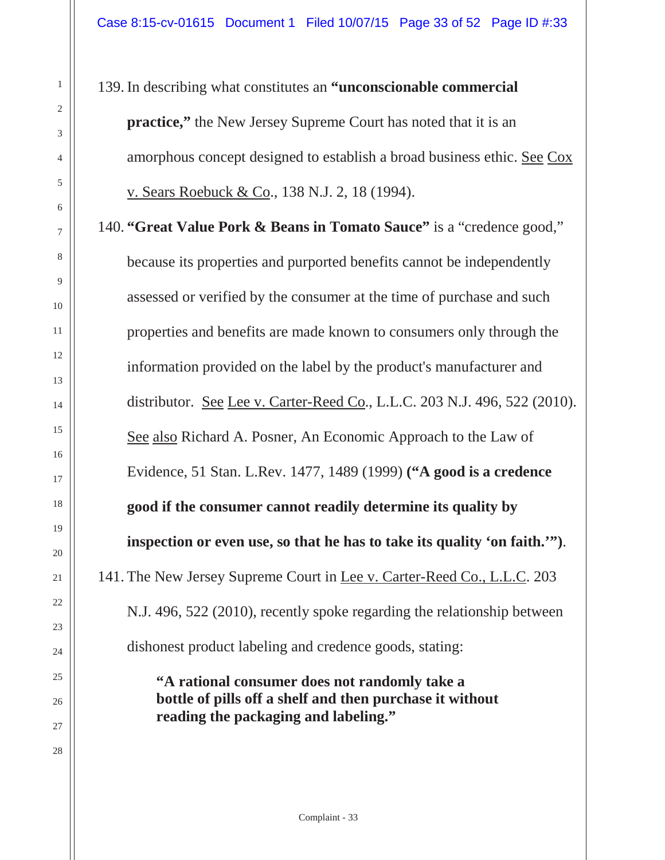139. In describing what constitutes an **"unconscionable commercial practice,**" the New Jersey Supreme Court has noted that it is an amorphous concept designed to establish a broad business ethic. See Cox v. Sears Roebuck & Co., 138 N.J. 2, 18 (1994).

140. **"Great Value Pork & Beans in Tomato Sauce"** is a "credence good," because its properties and purported benefits cannot be independently assessed or verified by the consumer at the time of purchase and such properties and benefits are made known to consumers only through the information provided on the label by the product's manufacturer and distributor. See Lee v. Carter-Reed Co., L.L.C. 203 N.J. 496, 522 (2010). See also Richard A. Posner, An Economic Approach to the Law of Evidence, 51 Stan. L.Rev. 1477, 1489 (1999) **("A good is a credence good if the consumer cannot readily determine its quality by inspection or even use, so that he has to take its quality 'on faith.'")**. 141. The New Jersey Supreme Court in Lee v. Carter-Reed Co., L.L.C. 203 N.J. 496, 522 (2010), recently spoke regarding the relationship between dishonest product labeling and credence goods, stating:

> **"A rational consumer does not randomly take a bottle of pills off a shelf and then purchase it without reading the packaging and labeling."**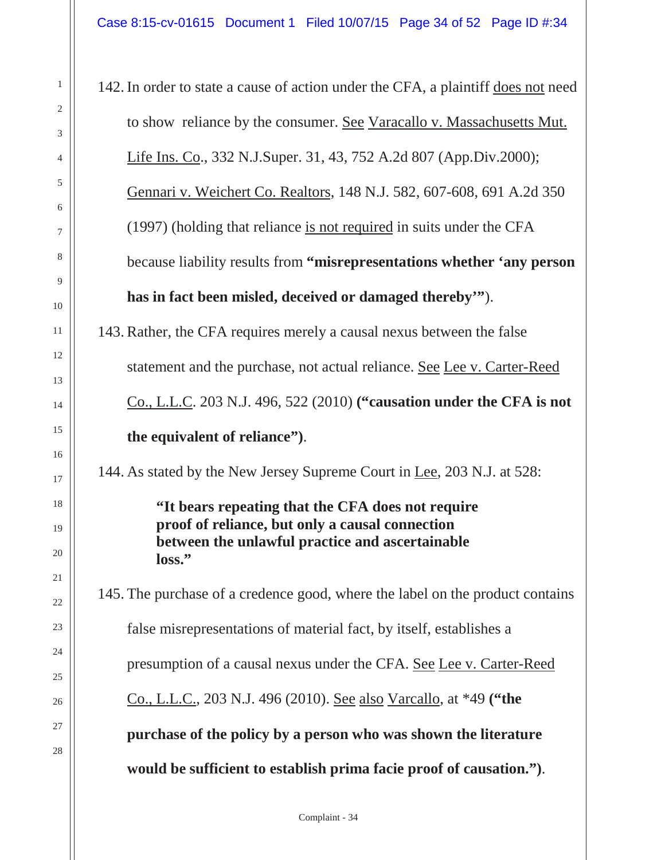142. In order to state a cause of action under the CFA, a plaintiff does not need to show reliance by the consumer. See Varacallo v. Massachusetts Mut. Life Ins. Co., 332 N.J.Super. 31, 43, 752 A.2d 807 (App.Div.2000); Gennari v. Weichert Co. Realtors, 148 N.J. 582, 607-608, 691 A.2d 350 (1997) (holding that reliance is not required in suits under the CFA because liability results from **"misrepresentations whether 'any person has in fact been misled, deceived or damaged thereby'"**). 143. Rather, the CFA requires merely a causal nexus between the false statement and the purchase, not actual reliance. See Lee v. Carter-Reed Co., L.L.C. 203 N.J. 496, 522 (2010) **("causation under the CFA is not the equivalent of reliance")**. 144. As stated by the New Jersey Supreme Court in Lee, 203 N.J. at 528: **"It bears repeating that the CFA does not require proof of reliance, but only a causal connection between the unlawful practice and ascertainable loss."** 145. The purchase of a credence good, where the label on the product contains false misrepresentations of material fact, by itself, establishes a presumption of a causal nexus under the CFA. See Lee v. Carter-Reed Co., L.L.C., 203 N.J. 496 (2010). See also Varcallo, at \*49 **("the purchase of the policy by a person who was shown the literature would be sufficient to establish prima facie proof of causation.")**.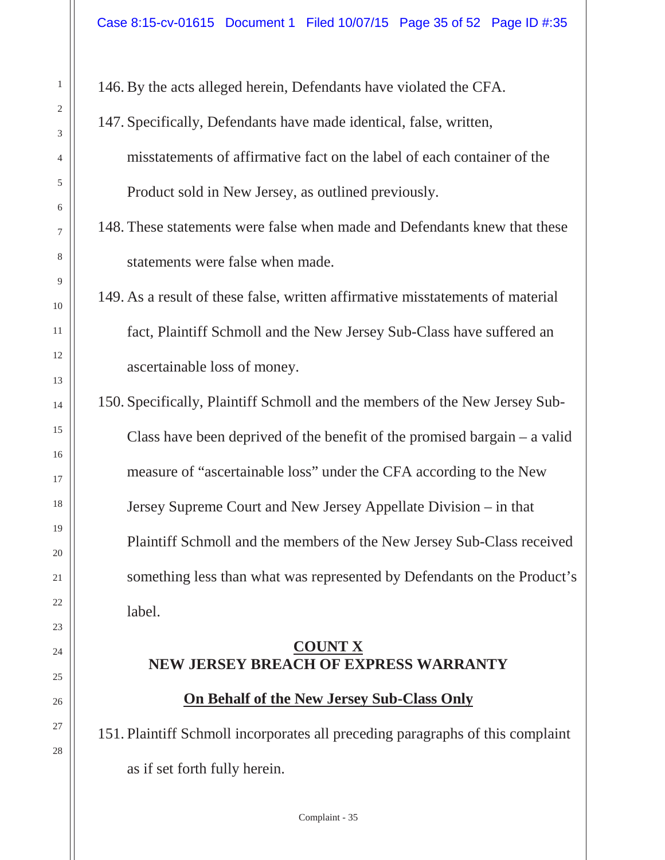146. By the acts alleged herein, Defendants have violated the CFA.

147. Specifically, Defendants have made identical, false, written, misstatements of affirmative fact on the label of each container of the Product sold in New Jersey, as outlined previously.

148. These statements were false when made and Defendants knew that these statements were false when made.

149. As a result of these false, written affirmative misstatements of material fact, Plaintiff Schmoll and the New Jersey Sub-Class have suffered an ascertainable loss of money.

150. Specifically, Plaintiff Schmoll and the members of the New Jersey Sub-Class have been deprived of the benefit of the promised bargain – a valid measure of "ascertainable loss" under the CFA according to the New Jersey Supreme Court and New Jersey Appellate Division – in that Plaintiff Schmoll and the members of the New Jersey Sub-Class received something less than what was represented by Defendants on the Product's label.

#### **COUNT X NEW JERSEY BREACH OF EXPRESS WARRANTY**

**On Behalf of the New Jersey Sub-Class Only**

151. Plaintiff Schmoll incorporates all preceding paragraphs of this complaint as if set forth fully herein.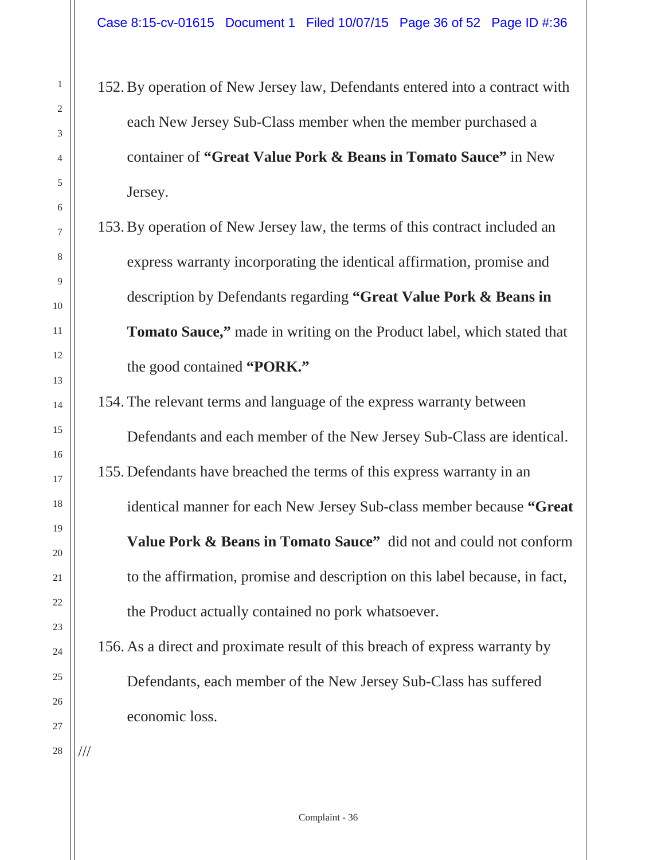- 152. By operation of New Jersey law, Defendants entered into a contract with each New Jersey Sub-Class member when the member purchased a container of **"Great Value Pork & Beans in Tomato Sauce"** in New Jersey.
- 153. By operation of New Jersey law, the terms of this contract included an express warranty incorporating the identical affirmation, promise and description by Defendants regarding **"Great Value Pork & Beans in Tomato Sauce,"** made in writing on the Product label, which stated that the good contained **"PORK."**
- 154. The relevant terms and language of the express warranty between Defendants and each member of the New Jersey Sub-Class are identical. 155. Defendants have breached the terms of this express warranty in an identical manner for each New Jersey Sub-class member because **"Great Value Pork & Beans in Tomato Sauce"** did not and could not conform to the affirmation, promise and description on this label because, in fact, the Product actually contained no pork whatsoever.
- 156. As a direct and proximate result of this breach of express warranty by Defendants, each member of the New Jersey Sub-Class has suffered economic loss.

///

1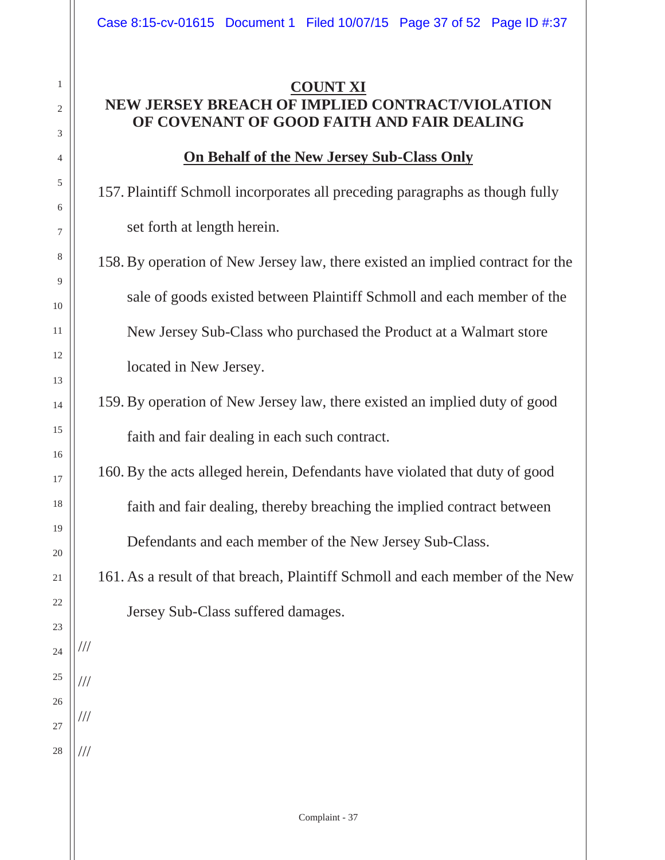#### **COUNT XI NEW JERSEY BREACH OF IMPLIED CONTRACT/VIOLATION OF COVENANT OF GOOD FAITH AND FAIR DEALING**

1

2

3

4

5

6

7

8

9

10

11

12

13

14

15

16

17

18

19

20

21

22

23

24

///

///

///

///

25

26

27

28

#### **On Behalf of the New Jersey Sub-Class Only**

157. Plaintiff Schmoll incorporates all preceding paragraphs as though fully set forth at length herein.

158. By operation of New Jersey law, there existed an implied contract for the sale of goods existed between Plaintiff Schmoll and each member of the New Jersey Sub-Class who purchased the Product at a Walmart store located in New Jersey.

# 159. By operation of New Jersey law, there existed an implied duty of good faith and fair dealing in each such contract.

160. By the acts alleged herein, Defendants have violated that duty of good faith and fair dealing, thereby breaching the implied contract between Defendants and each member of the New Jersey Sub-Class.

161. As a result of that breach, Plaintiff Schmoll and each member of the New Jersey Sub-Class suffered damages.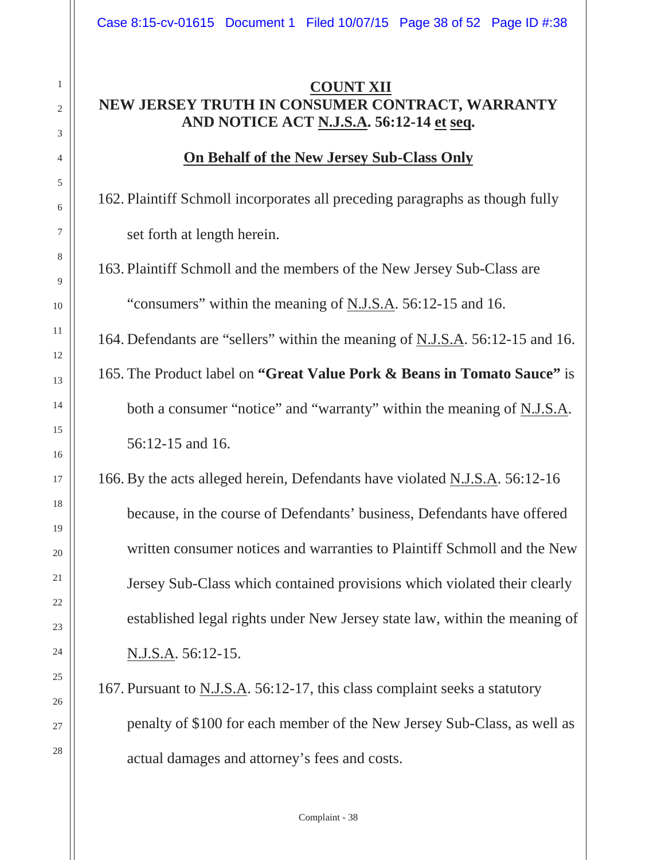#### **COUNT XII NEW JERSEY TRUTH IN CONSUMER CONTRACT, WARRANTY AND NOTICE ACT N.J.S.A. 56:12-14 et seq.**

#### **On Behalf of the New Jersey Sub-Class Only**

162. Plaintiff Schmoll incorporates all preceding paragraphs as though fully set forth at length herein.

163. Plaintiff Schmoll and the members of the New Jersey Sub-Class are "consumers" within the meaning of N.J.S.A. 56:12-15 and 16.

164. Defendants are "sellers" within the meaning of N.J.S.A. 56:12-15 and 16.

165. The Product label on **"Great Value Pork & Beans in Tomato Sauce"** is both a consumer "notice" and "warranty" within the meaning of N.J.S.A. 56:12-15 and 16.

166. By the acts alleged herein, Defendants have violated N.J.S.A. 56:12-16 because, in the course of Defendants' business, Defendants have offered written consumer notices and warranties to Plaintiff Schmoll and the New Jersey Sub-Class which contained provisions which violated their clearly established legal rights under New Jersey state law, within the meaning of N.J.S.A. 56:12-15.

167. Pursuant to N.J.S.A. 56:12-17, this class complaint seeks a statutory penalty of \$100 for each member of the New Jersey Sub-Class, as well as actual damages and attorney's fees and costs.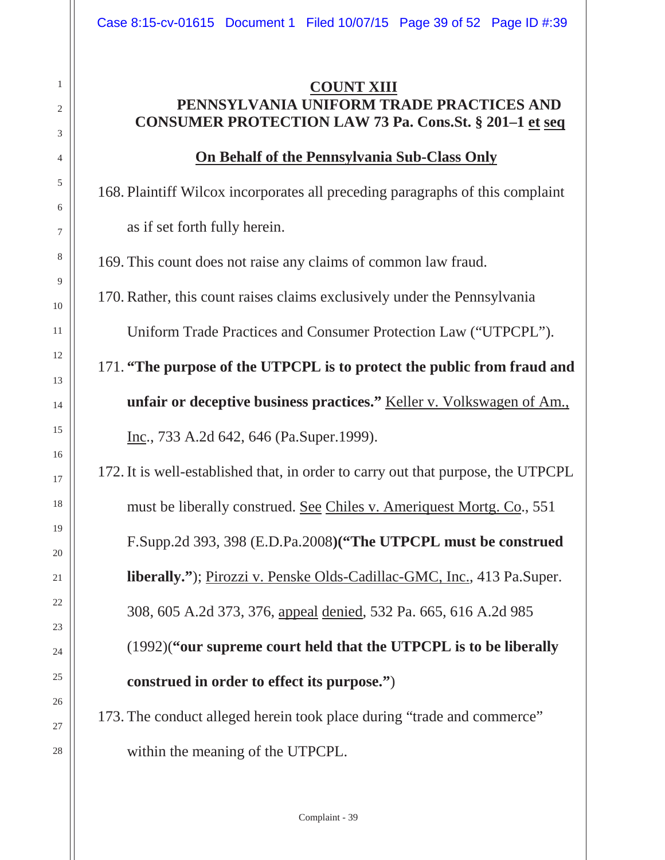#### **COUNT XIII PENNSYLVANIA UNIFORM TRADE PRACTICES AND CONSUMER PROTECTION LAW 73 Pa. Cons.St. § 201–1 et seq**

#### **On Behalf of the Pennsylvania Sub-Class Only**

168. Plaintiff Wilcox incorporates all preceding paragraphs of this complaint as if set forth fully herein.

169. This count does not raise any claims of common law fraud.

1

2

3

4

5

6

7

8

9

10

11

12

13

14

15

16

17

18

19

20

21

22

23

24

25

26

27

28

170. Rather, this count raises claims exclusively under the Pennsylvania

Uniform Trade Practices and Consumer Protection Law ("UTPCPL").

171. **"The purpose of the UTPCPL is to protect the public from fraud and unfair or deceptive business practices."** Keller v. Volkswagen of Am., Inc., 733 A.2d 642, 646 (Pa.Super.1999).

172. It is well-established that, in order to carry out that purpose, the UTPCPL must be liberally construed. See Chiles v. Ameriquest Mortg. Co., 551 F.Supp.2d 393, 398 (E.D.Pa.2008**)("The UTPCPL must be construed liberally."**); Pirozzi v. Penske Olds-Cadillac-GMC, Inc., 413 Pa.Super. 308, 605 A.2d 373, 376, appeal denied, 532 Pa. 665, 616 A.2d 985 (1992)(**"our supreme court held that the UTPCPL is to be liberally construed in order to effect its purpose."**)

173. The conduct alleged herein took place during "trade and commerce" within the meaning of the UTPCPL.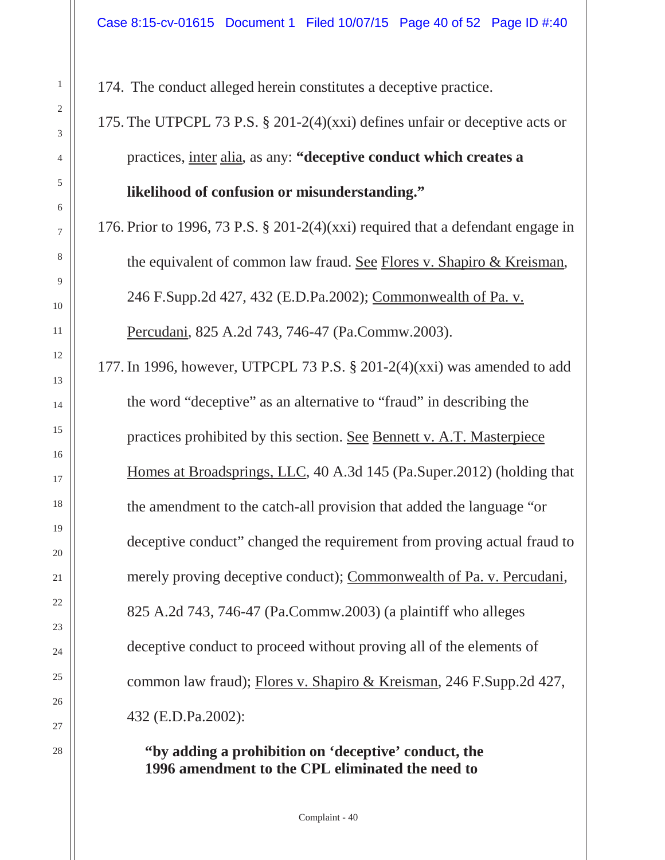174. The conduct alleged herein constitutes a deceptive practice.

175. The UTPCPL 73 P.S. § 201-2(4)(xxi) defines unfair or deceptive acts or practices, inter alia, as any: **"deceptive conduct which creates a likelihood of confusion or misunderstanding."**

176. Prior to 1996, 73 P.S. § 201-2(4)(xxi) required that a defendant engage in the equivalent of common law fraud. See Flores v. Shapiro & Kreisman, 246 F.Supp.2d 427, 432 (E.D.Pa.2002); Commonwealth of Pa. v. Percudani, 825 A.2d 743, 746-47 (Pa.Commw.2003).

177. In 1996, however, UTPCPL 73 P.S. § 201-2(4)(xxi) was amended to add the word "deceptive" as an alternative to "fraud" in describing the practices prohibited by this section. See Bennett v. A.T. Masterpiece Homes at Broadsprings, LLC, 40 A.3d 145 (Pa.Super.2012) (holding that the amendment to the catch-all provision that added the language "or deceptive conduct" changed the requirement from proving actual fraud to merely proving deceptive conduct); Commonwealth of Pa. v. Percudani, 825 A.2d 743, 746-47 (Pa.Commw.2003) (a plaintiff who alleges deceptive conduct to proceed without proving all of the elements of common law fraud); Flores v. Shapiro & Kreisman, 246 F.Supp.2d 427, 432 (E.D.Pa.2002):

**"by adding a prohibition on 'deceptive' conduct, the 1996 amendment to the CPL eliminated the need to**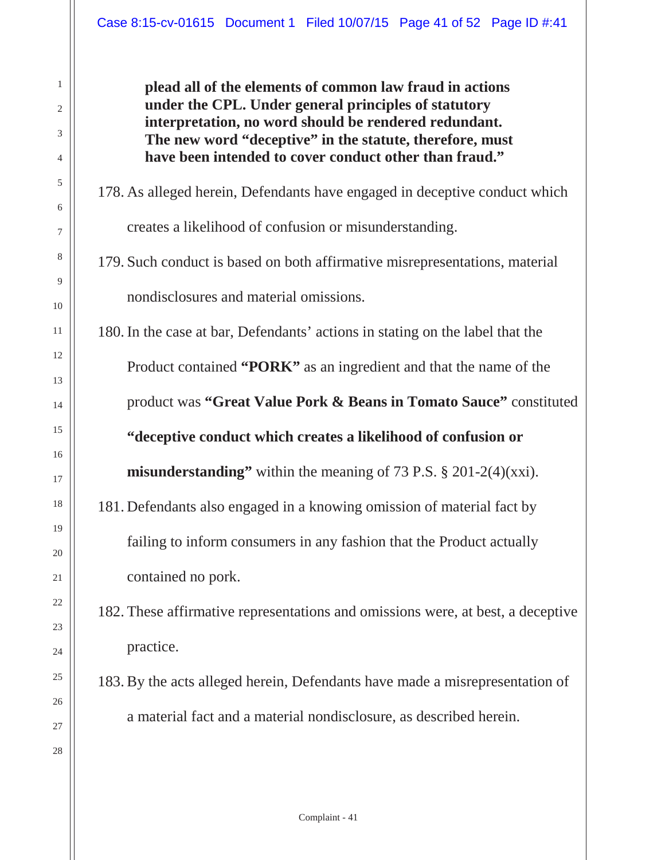**plead all of the elements of common law fraud in actions under the CPL. Under general principles of statutory interpretation, no word should be rendered redundant. The new word "deceptive" in the statute, therefore, must have been intended to cover conduct other than fraud."**

# 178. As alleged herein, Defendants have engaged in deceptive conduct which creates a likelihood of confusion or misunderstanding.

# 179. Such conduct is based on both affirmative misrepresentations, material nondisclosures and material omissions.

180. In the case at bar, Defendants' actions in stating on the label that the Product contained **"PORK"** as an ingredient and that the name of the product was **"Great Value Pork & Beans in Tomato Sauce"** constituted **"deceptive conduct which creates a likelihood of confusion or misunderstanding"** within the meaning of 73 P.S. § 201-2(4)(xxi).

181. Defendants also engaged in a knowing omission of material fact by failing to inform consumers in any fashion that the Product actually

contained no pork.

182. These affirmative representations and omissions were, at best, a deceptive practice.

183. By the acts alleged herein, Defendants have made a misrepresentation of a material fact and a material nondisclosure, as described herein.

1

2

3

4

5

7

8

9

10

11

13

14

15

17

19

20

21

23

24

25

27

28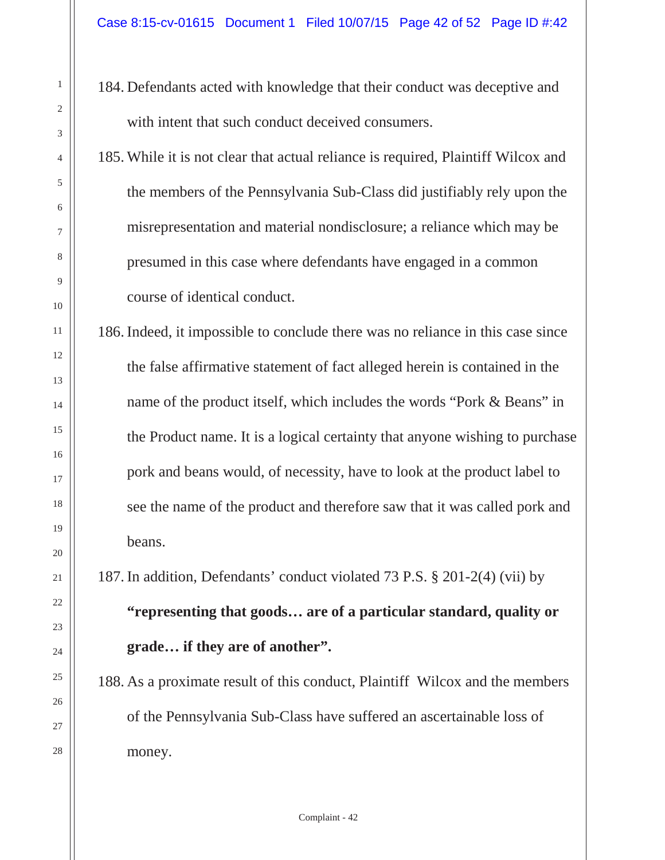- 184. Defendants acted with knowledge that their conduct was deceptive and with intent that such conduct deceived consumers.
- 185. While it is not clear that actual reliance is required, Plaintiff Wilcox and the members of the Pennsylvania Sub-Class did justifiably rely upon the misrepresentation and material nondisclosure; a reliance which may be presumed in this case where defendants have engaged in a common course of identical conduct.

186. Indeed, it impossible to conclude there was no reliance in this case since the false affirmative statement of fact alleged herein is contained in the name of the product itself, which includes the words "Pork & Beans" in the Product name. It is a logical certainty that anyone wishing to purchase pork and beans would, of necessity, have to look at the product label to see the name of the product and therefore saw that it was called pork and beans.

187. In addition, Defendants' conduct violated 73 P.S. § 201-2(4) (vii) by

**"representing that goods… are of a particular standard, quality or grade… if they are of another".**

188. As a proximate result of this conduct, Plaintiff Wilcox and the members of the Pennsylvania Sub-Class have suffered an ascertainable loss of money.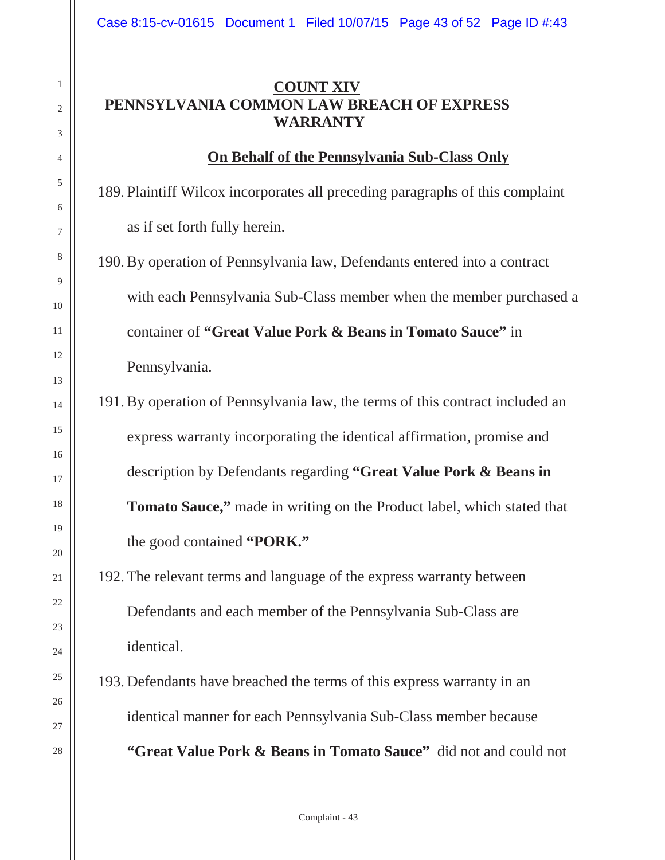#### **COUNT XIV PENNSYLVANIA COMMON LAW BREACH OF EXPRESS WARRANTY**

#### **On Behalf of the Pennsylvania Sub-Class Only**

189. Plaintiff Wilcox incorporates all preceding paragraphs of this complaint as if set forth fully herein.

190. By operation of Pennsylvania law, Defendants entered into a contract with each Pennsylvania Sub-Class member when the member purchased a container of **"Great Value Pork & Beans in Tomato Sauce"** in Pennsylvania.

191. By operation of Pennsylvania law, the terms of this contract included an express warranty incorporating the identical affirmation, promise and description by Defendants regarding **"Great Value Pork & Beans in Tomato Sauce,"** made in writing on the Product label, which stated that the good contained **"PORK."**

# 192. The relevant terms and language of the express warranty between Defendants and each member of the Pennsylvania Sub-Class are identical.

193. Defendants have breached the terms of this express warranty in an identical manner for each Pennsylvania Sub-Class member because **"Great Value Pork & Beans in Tomato Sauce"** did not and could not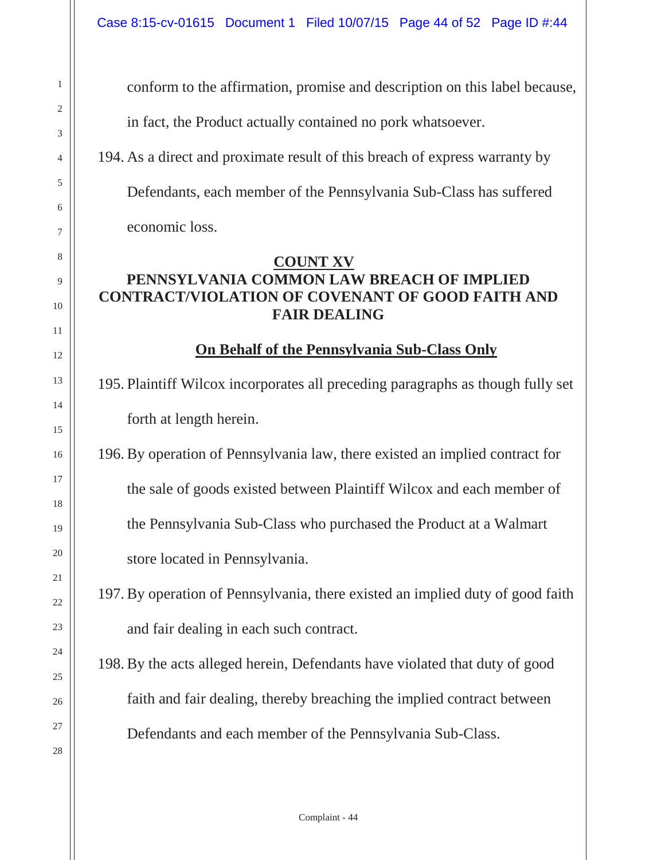conform to the affirmation, promise and description on this label because,

in fact, the Product actually contained no pork whatsoever.

194. As a direct and proximate result of this breach of express warranty by

Defendants, each member of the Pennsylvania Sub-Class has suffered

economic loss.

#### **COUNT XV**

#### **PENNSYLVANIA COMMON LAW BREACH OF IMPLIED CONTRACT/VIOLATION OF COVENANT OF GOOD FAITH AND FAIR DEALING**

#### **On Behalf of the Pennsylvania Sub-Class Only**

195. Plaintiff Wilcox incorporates all preceding paragraphs as though fully set forth at length herein.

196. By operation of Pennsylvania law, there existed an implied contract for the sale of goods existed between Plaintiff Wilcox and each member of the Pennsylvania Sub-Class who purchased the Product at a Walmart store located in Pennsylvania.

197. By operation of Pennsylvania, there existed an implied duty of good faith and fair dealing in each such contract.

198. By the acts alleged herein, Defendants have violated that duty of good faith and fair dealing, thereby breaching the implied contract between Defendants and each member of the Pennsylvania Sub-Class.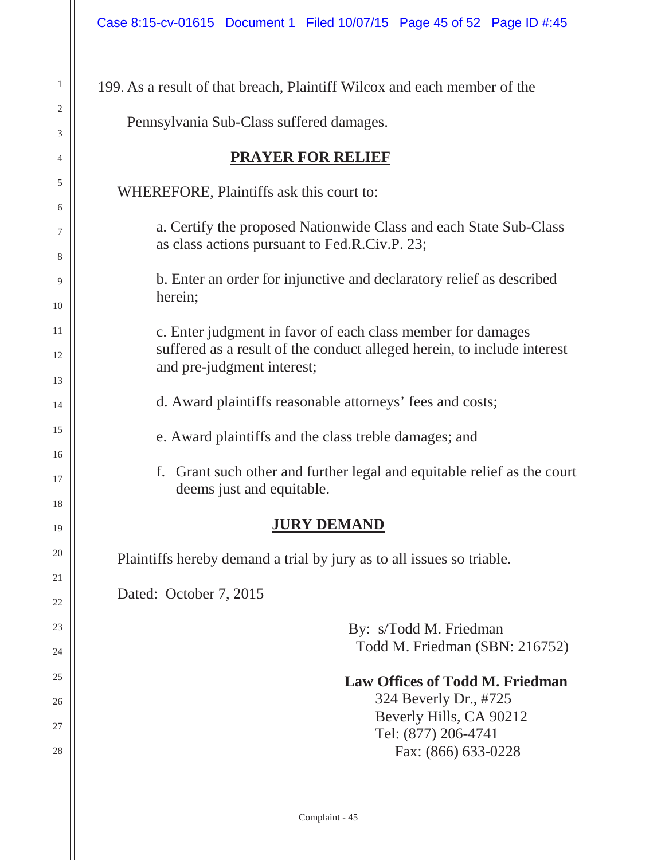1

2

3

4

5

6

7

8

9

10

11

12

13

14

15

16

17

18

19

20

21

22

23

24

25

26

27

28

| 199. As a result of that breach, Plaintiff Wilcox and each member of the                                                                                             |  |  |  |  |  |
|----------------------------------------------------------------------------------------------------------------------------------------------------------------------|--|--|--|--|--|
| Pennsylvania Sub-Class suffered damages.                                                                                                                             |  |  |  |  |  |
| <b>PRAYER FOR RELIEF</b>                                                                                                                                             |  |  |  |  |  |
| WHEREFORE, Plaintiffs ask this court to:                                                                                                                             |  |  |  |  |  |
| a. Certify the proposed Nationwide Class and each State Sub-Class<br>as class actions pursuant to Fed.R.Civ.P. 23;                                                   |  |  |  |  |  |
| b. Enter an order for injunctive and declaratory relief as described<br>herein;                                                                                      |  |  |  |  |  |
| c. Enter judgment in favor of each class member for damages<br>suffered as a result of the conduct alleged herein, to include interest<br>and pre-judgment interest; |  |  |  |  |  |
| d. Award plaintiffs reasonable attorneys' fees and costs;                                                                                                            |  |  |  |  |  |
| e. Award plaintiffs and the class treble damages; and                                                                                                                |  |  |  |  |  |
| f. Grant such other and further legal and equitable relief as the court<br>deems just and equitable.                                                                 |  |  |  |  |  |
| <b>JURY DEMAND</b>                                                                                                                                                   |  |  |  |  |  |
| Plaintiffs hereby demand a trial by jury as to all issues so triable.                                                                                                |  |  |  |  |  |
| Dated: October 7, 2015                                                                                                                                               |  |  |  |  |  |
| By: s/Todd M. Friedman<br>Todd M. Friedman (SBN: 216752)                                                                                                             |  |  |  |  |  |
| <b>Law Offices of Todd M. Friedman</b><br>324 Beverly Dr., #725<br>Beverly Hills, CA 90212<br>Tel: (877) 206-4741<br>Fax: (866) 633-0228                             |  |  |  |  |  |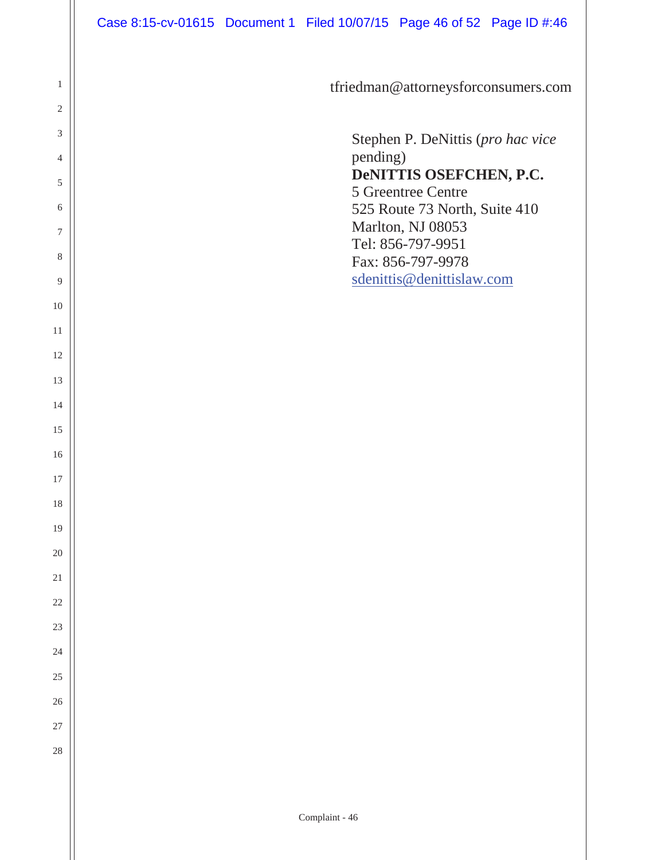|                | Case 8:15-cv-01615 Document 1 Filed 10/07/15 Page 46 of 52 Page ID #:46 |                |                                               |  |
|----------------|-------------------------------------------------------------------------|----------------|-----------------------------------------------|--|
|                |                                                                         |                |                                               |  |
| $\mathbf{1}$   |                                                                         |                | tfriedman@attorneysforconsumers.com           |  |
| $\overline{2}$ |                                                                         |                |                                               |  |
| 3              |                                                                         |                | Stephen P. DeNittis (pro hac vice             |  |
| 4              |                                                                         | pending)       |                                               |  |
| 5              |                                                                         |                | DeNITTIS OSEFCHEN, P.C.<br>5 Greentree Centre |  |
| 6              |                                                                         |                | 525 Route 73 North, Suite 410                 |  |
| 7              |                                                                         |                | Marlton, NJ 08053<br>Tel: 856-797-9951        |  |
| 8              |                                                                         |                | Fax: 856-797-9978                             |  |
| 9              |                                                                         |                | sdenittis@denittislaw.com                     |  |
| 10             |                                                                         |                |                                               |  |
| 11             |                                                                         |                |                                               |  |
| 12             |                                                                         |                |                                               |  |
| 13             |                                                                         |                |                                               |  |
| 14             |                                                                         |                |                                               |  |
| 15             |                                                                         |                |                                               |  |
| 16             |                                                                         |                |                                               |  |
| 17             |                                                                         |                |                                               |  |
| 18             |                                                                         |                |                                               |  |
| 19             |                                                                         |                |                                               |  |
| $20\,$         |                                                                         |                |                                               |  |
| 21             |                                                                         |                |                                               |  |
| $22\,$         |                                                                         |                |                                               |  |
| $23\,$         |                                                                         |                |                                               |  |
| 24             |                                                                         |                |                                               |  |
| 25             |                                                                         |                |                                               |  |
| $26\,$         |                                                                         |                |                                               |  |
| 27             |                                                                         |                |                                               |  |
| $28\,$         |                                                                         |                |                                               |  |
|                |                                                                         |                |                                               |  |
|                |                                                                         | Complaint - 46 |                                               |  |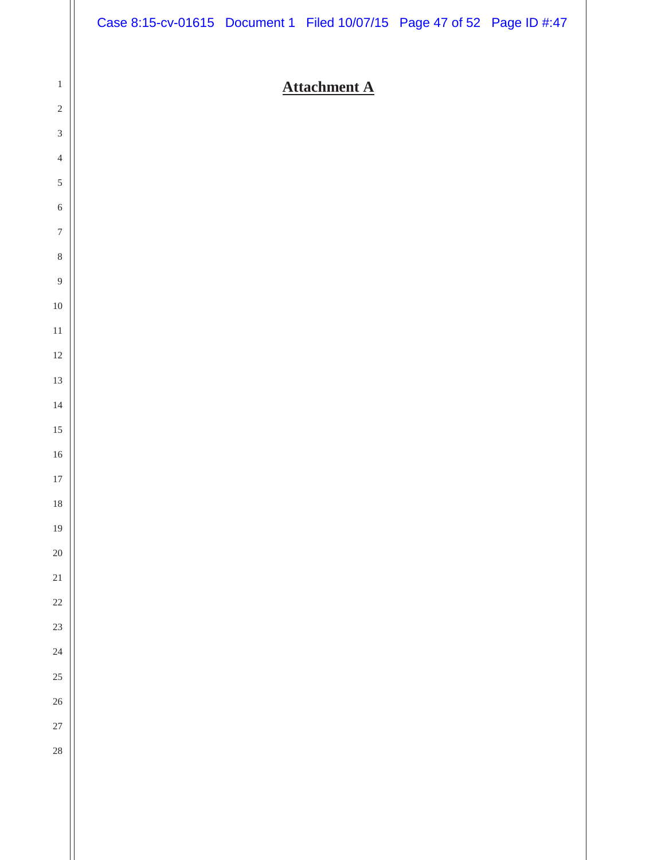|                                               | Case 8:15-cv-01615 Document 1 Filed 10/07/15 Page 47 of 52 Page ID #:47 |                     |  |
|-----------------------------------------------|-------------------------------------------------------------------------|---------------------|--|
|                                               |                                                                         |                     |  |
| $\mathbf{1}$                                  |                                                                         | <b>Attachment A</b> |  |
| $\sqrt{2}$                                    |                                                                         |                     |  |
| $\ensuremath{\mathfrak{Z}}$<br>$\overline{4}$ |                                                                         |                     |  |
| $\sqrt{5}$                                    |                                                                         |                     |  |
| $\sqrt{6}$                                    |                                                                         |                     |  |
| $\boldsymbol{7}$                              |                                                                         |                     |  |
| $\,8\,$                                       |                                                                         |                     |  |
| $\boldsymbol{9}$                              |                                                                         |                     |  |
| $10\,$                                        |                                                                         |                     |  |
| $11\,$                                        |                                                                         |                     |  |
| $12\,$                                        |                                                                         |                     |  |
| $13\,$                                        |                                                                         |                     |  |
| 14                                            |                                                                         |                     |  |
| $15\,$                                        |                                                                         |                     |  |
| $16\,$                                        |                                                                         |                     |  |
| $17\,$                                        |                                                                         |                     |  |
| $18\,$                                        |                                                                         |                     |  |
| $19\,$                                        |                                                                         |                     |  |
| $20\,$                                        |                                                                         |                     |  |
| 21<br>$22\,$                                  |                                                                         |                     |  |
| $23\,$                                        |                                                                         |                     |  |
| $24\,$                                        |                                                                         |                     |  |
| $25\,$                                        |                                                                         |                     |  |
| 26                                            |                                                                         |                     |  |
| $27\,$                                        |                                                                         |                     |  |
| $\overline{28}$                               |                                                                         |                     |  |
|                                               |                                                                         |                     |  |
|                                               |                                                                         |                     |  |
|                                               |                                                                         |                     |  |
|                                               |                                                                         |                     |  |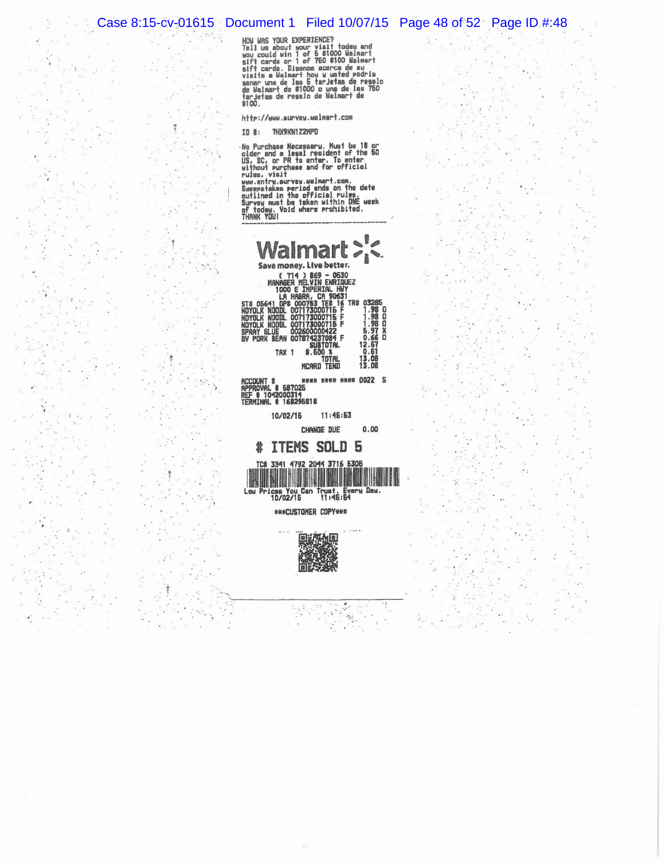$\label{eq:1} \mathcal{L}_{\mathcal{A}} = \mathcal{L}_{\mathcal{A}} \mathcal{L}_{\mathcal{A}}$ 

÷  $\overline{\mathcal{R}}$ 

i și

 $\frac{\partial^2}{\partial x^2}$ 

 $\frac{1}{\sqrt{2}}$ 

 $\frac{1}{\beta}$  :

 $\alpha$ 

 $\chi$ 

 $\widetilde{\mathbf{x}}$ 

ð.

 $\mathbf{v}_i$ 

 $\mathcal{C}_{\mathbf{z}}$  . 深

 $\mathcal{L}$ 

 $\mathcal{E}_{\mathbf{r}}$ 

 $\ddot{\cdot}$ 

j.  $\alpha$  ,

 $\langle \mathbf{w} | \psi \rangle$ 

 $\tilde{\Omega}$ 

 $\mathcal{L}$ 

 $\bar{a}$ 

 $\cdot$ 

 $\ddot{\cdot}$ 

 $\epsilon_{\rm e}$ 

 $\bar{\alpha}$ 

ł  $\overline{\phantom{a}}$ 

 $\overline{\phantom{a}}$ 

 $\frac{1}{2}$ 

 $\epsilon_{\rm s}$  :

 $\frac{1}{2}$ 

 $\frac{1}{2}$ 

Đ.

 $\ddot{i}$ 

 $\alpha$ 

 $\overline{a}$ 

 $\sim$ 

 $\bar{\alpha}$ 

 $\sim$ 

 $\blacksquare$ 

 $\epsilon_{\rm s}$ 

 $\mathcal{C}^{\ast}$ 

 $\mathcal{E}$ 

s.  $\ddot{\phantom{a}}$ 

Case 8:15-cv-01615 Document 1 Filed 10/07/15 Page 48 of 52 Page ID #:48<br>
How was your EXPERIENCE?<br>
Tell us about your visit today and<br>
was course what the filed the page of the state of the state of the state of the state

http://www.survey.walmart.com

ID 8: 7HX9KN1Z2MPD

No Purchase Necessary. Must be 18 or<br>No Purchase Necessary. Must be 18 or<br>US. DC. or PR to enter. To enter<br>Without purchase and for official<br>www.entry.ourvey.walmart.com.<br>Seeepstakes period ends on the date<br>curing in the o

|         | Walmart>'<                                                                                                                                                  |                        |
|---------|-------------------------------------------------------------------------------------------------------------------------------------------------------------|------------------------|
|         |                                                                                                                                                             |                        |
|         | $(714)869 - 0530$<br>MANAGER MELVIN ENRIGHEZ<br>1000 E IMPERIAL HUY<br>LA HABRA, CA 90631<br>ST8 06641 DPB 000763 TEB 16 TR#<br>NOYOLK NOODL 007173000715 F |                        |
| nnyni K | NOODL 007173000715 F                                                                                                                                        | . 98                   |
| NOYOLK  | NODDL 007173000715 F                                                                                                                                        | O<br>1.98              |
|         | SPRAY GLUE 002600000422                                                                                                                                     | 5.97                   |
|         | V PORK BEAN 007874237084 F                                                                                                                                  | $\Omega$<br>0.66       |
| TAX     | SUBTOTAL<br>8.500 %                                                                                                                                         | 12.57<br>0.51<br>13.08 |
|         | McArd Tend                                                                                                                                                  | 13.08                  |

**ACCOUNT \$**<br>APPROVAL \$ 587025<br>REF \$ 1042000314<br>TERMINAL \$ 168295818 нень мень нини 0022 S

> 10/02/15  $11:45:53$

> > CHANGE DUE  $0.00$

> > > ó.

 $\mathcal{V}_\mathrm{c}$ 

 $\frac{1}{2}$ 

 $\frac{2\pi}{\lambda} \frac{2\pi}{\lambda}$  .



*WHACUSTOMER COPYNNH* 

 $\mathcal{L}^{\mathcal{L}}_{\mathcal{L}}$ 



 $\mathbf{r}$ 

 $\lambda \rightarrow$ 

 $\mathcal{N}_{\mathcal{A}}$ 

 $\mathbf{a}$  is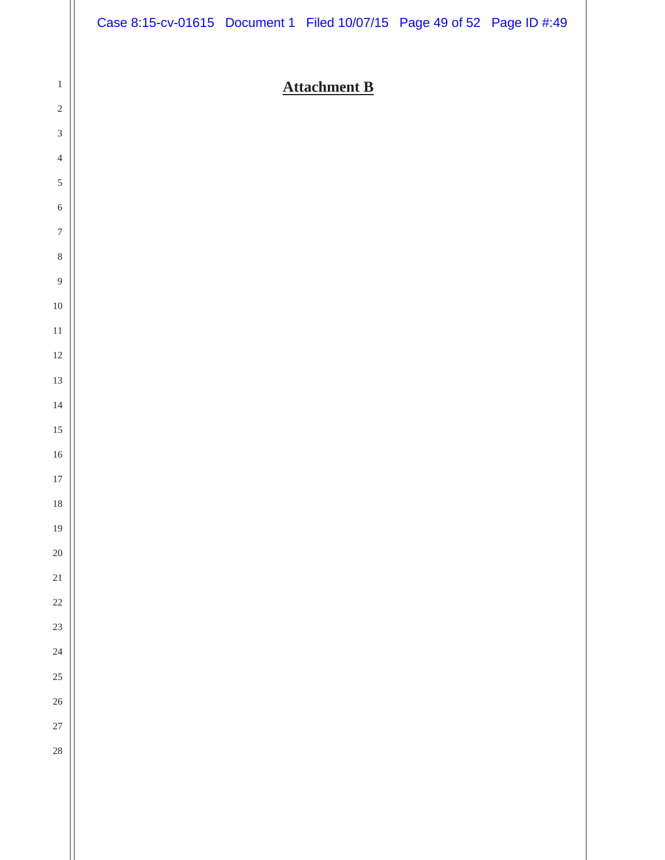|                             | Case 8:15-cv-01615 Document 1 Filed 10/07/15 Page 49 of 52 Page ID #:49 |                     |  |
|-----------------------------|-------------------------------------------------------------------------|---------------------|--|
|                             |                                                                         |                     |  |
| $\mathbf{1}$                |                                                                         | <b>Attachment B</b> |  |
| $\sqrt{2}$                  |                                                                         |                     |  |
| $\ensuremath{\mathfrak{Z}}$ |                                                                         |                     |  |
| $\sqrt{4}$<br>$\sqrt{5}$    |                                                                         |                     |  |
| $\sqrt{6}$                  |                                                                         |                     |  |
| $\boldsymbol{7}$            |                                                                         |                     |  |
| $\,8\,$                     |                                                                         |                     |  |
| $\boldsymbol{9}$            |                                                                         |                     |  |
| $10\,$                      |                                                                         |                     |  |
| $11\,$                      |                                                                         |                     |  |
| $12\,$                      |                                                                         |                     |  |
| $13\,$                      |                                                                         |                     |  |
| $14\,$                      |                                                                         |                     |  |
| $15\,$                      |                                                                         |                     |  |
| $16\,$                      |                                                                         |                     |  |
| $17\,$                      |                                                                         |                     |  |
| $18\,$                      |                                                                         |                     |  |
| $19\,$                      |                                                                         |                     |  |
| $20\,$                      |                                                                         |                     |  |
| 21                          |                                                                         |                     |  |
| $22\,$<br>23                |                                                                         |                     |  |
| 24                          |                                                                         |                     |  |
| 25                          |                                                                         |                     |  |
| $26\,$                      |                                                                         |                     |  |
| 27                          |                                                                         |                     |  |
| $28\,$                      |                                                                         |                     |  |
|                             |                                                                         |                     |  |
|                             |                                                                         |                     |  |
|                             |                                                                         |                     |  |
|                             |                                                                         |                     |  |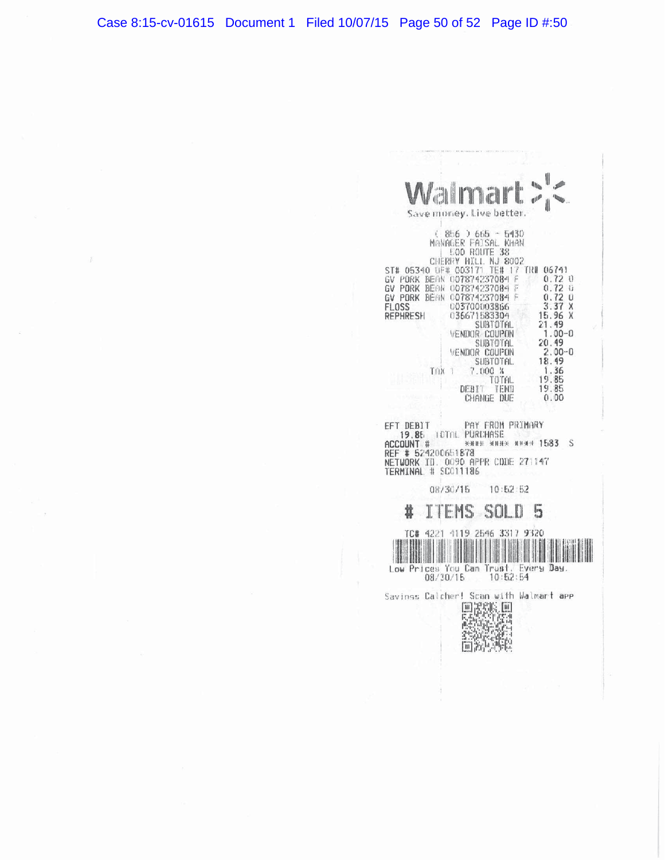| <b>Allis</b><br>almart<br>$\mathbb{R}^{ I }$                                                                                                                                                                                                                                                                                                                                                                                                                                                                                                                                                                                |
|-----------------------------------------------------------------------------------------------------------------------------------------------------------------------------------------------------------------------------------------------------------------------------------------------------------------------------------------------------------------------------------------------------------------------------------------------------------------------------------------------------------------------------------------------------------------------------------------------------------------------------|
| Save money. Live better.                                                                                                                                                                                                                                                                                                                                                                                                                                                                                                                                                                                                    |
| ( 856 ) 665 ~ 5430<br>MANAGER PAISAL KHAN<br><b>GOO ROUTE</b><br>38<br>CHERRY HILL<br>NJ 8002<br>ST# 05340 UF# 003171<br>TE# 17 TRI 06741<br>BEAN 007874237084 F<br>$0.72$ 0<br>GV PORK<br>$0.72 \, \mathrm{ii}$<br>GV PORK<br>BEAN 007874237084<br>0.72<br>GV PORK BEAN 007874237084 F<br>Ĥ<br>3.37X<br>FL0SS<br>003700003866<br>15.96<br>REPHRESH<br>036671583304<br>X<br>21.49<br>SUBTOTAL<br>$1.00 - 0$<br><b>VENDOR COUPON</b><br>20.49<br>SUBTOTAL.<br>VENDOR COUPON<br>$2.00 - 0$<br>18.49<br>SUBTOTAL.<br>1.36<br>7.000 %<br>TOK 1<br>19.85<br>TOTAL.<br>DEBIT<br>19.85<br><b>TEND</b><br>0.00<br><b>CHANGE DUE</b> |
| PAY FROM PRIMARY<br>EFT DEBIT<br>19.85 FOTOL PURCHASE<br><b>KNUE NUKK NEWS 1583</b> S<br>ACCOUNT #<br>REF # 524200651878<br>NETWORK ID. 0090 APPR CODE 271147<br>TERMINAL # SC011186                                                                                                                                                                                                                                                                                                                                                                                                                                        |
| 08730715 10:52:52                                                                                                                                                                                                                                                                                                                                                                                                                                                                                                                                                                                                           |
| TEMS SOL<br>5                                                                                                                                                                                                                                                                                                                                                                                                                                                                                                                                                                                                               |
| 4221 4119 2546 3317 9320<br>TC#<br>Low Prices You Can Trust. Every Day.<br>08/30/15 10:52:54                                                                                                                                                                                                                                                                                                                                                                                                                                                                                                                                |
| Savinss Calcher! Scan with Walmart app<br>国政科<br>高等社会                                                                                                                                                                                                                                                                                                                                                                                                                                                                                                                                                                       |

E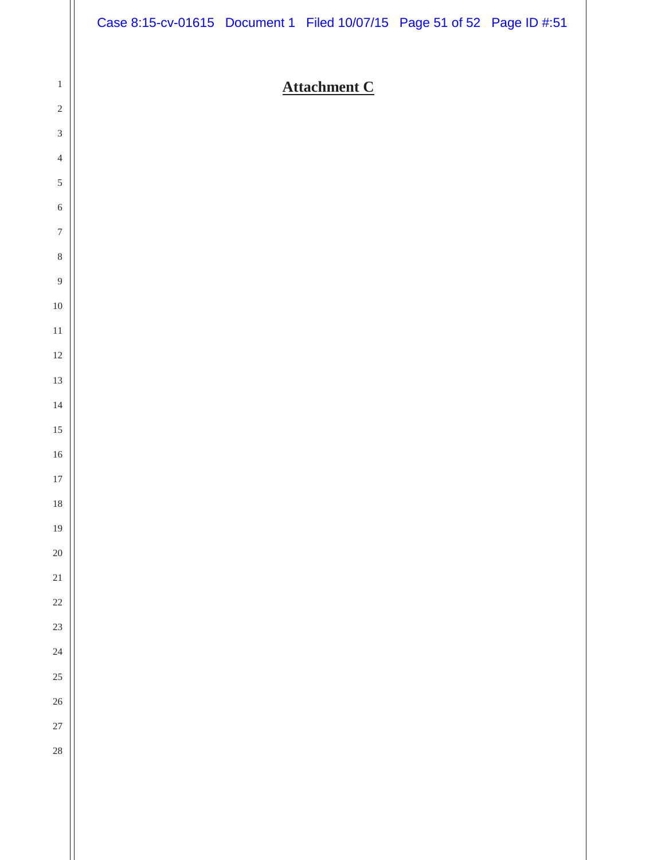|                            | Case 8:15-cv-01615 Document 1 Filed 10/07/15 Page 51 of 52 Page ID #:51 |                     |  |
|----------------------------|-------------------------------------------------------------------------|---------------------|--|
|                            |                                                                         |                     |  |
| $\mathbf{1}$<br>$\sqrt{2}$ |                                                                         | <b>Attachment C</b> |  |
| $\sqrt{3}$                 |                                                                         |                     |  |
| $\overline{4}$             |                                                                         |                     |  |
| $\sqrt{5}$                 |                                                                         |                     |  |
| $\sqrt{6}$                 |                                                                         |                     |  |
| $\boldsymbol{7}$           |                                                                         |                     |  |
| $\,8\,$                    |                                                                         |                     |  |
| $\boldsymbol{9}$           |                                                                         |                     |  |
| $10\,$                     |                                                                         |                     |  |
| $11\,$                     |                                                                         |                     |  |
| $12\,$                     |                                                                         |                     |  |
| $13\,$                     |                                                                         |                     |  |
| $14\,$                     |                                                                         |                     |  |
| $15\,$                     |                                                                         |                     |  |
| $16\,$                     |                                                                         |                     |  |
| $17\,$<br>$18\,$           |                                                                         |                     |  |
| 19                         |                                                                         |                     |  |
| $20\,$                     |                                                                         |                     |  |
| $21\,$                     |                                                                         |                     |  |
| $22\,$                     |                                                                         |                     |  |
| 23                         |                                                                         |                     |  |
| 24                         |                                                                         |                     |  |
| $25\,$                     |                                                                         |                     |  |
| 26                         |                                                                         |                     |  |
| $27\,$                     |                                                                         |                     |  |
| 28                         |                                                                         |                     |  |
|                            |                                                                         |                     |  |
|                            |                                                                         |                     |  |
|                            |                                                                         |                     |  |
|                            |                                                                         |                     |  |